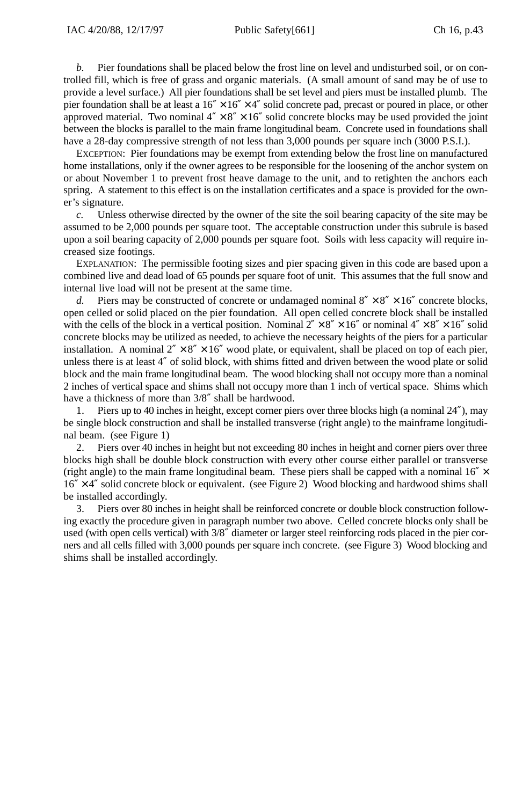*b.* Pier foundations shall be placed below the frost line on level and undisturbed soil, or on controlled fill, which is free of grass and organic materials. (A small amount of sand may be of use to provide a level surface.) All pier foundations shall be set level and piers must be installed plumb. The pier foundation shall be at least a  $16'' \times 16'' \times 4''$  solid concrete pad, precast or poured in place, or other approved material. Two nominal  $4'' \times 8'' \times 16''$  solid concrete blocks may be used provided the joint between the blocks is parallel to the main frame longitudinal beam. Concrete used in foundations shall have a 28-day compressive strength of not less than 3,000 pounds per square inch (3000 P.S.I.).

EXCEPTION: Pier foundations may be exempt from extending below the frost line on manufactured home installations, only if the owner agrees to be responsible for the loosening of the anchor system on or about November 1 to prevent frost heave damage to the unit, and to retighten the anchors each spring. A statement to this effect is on the installation certificates and a space is provided for the owner's signature.

*c.* Unless otherwise directed by the owner of the site the soil bearing capacity of the site may be assumed to be 2,000 pounds per square toot. The acceptable construction under this subrule is based upon a soil bearing capacity of 2,000 pounds per square foot. Soils with less capacity will require increased size footings.

EXPLANATION: The permissible footing sizes and pier spacing given in this code are based upon a combined live and dead load of 65 pounds per square foot of unit. This assumes that the full snow and internal live load will not be present at the same time.

*d.* Piers may be constructed of concrete or undamaged nominal  $8'' \times 8'' \times 16''$  concrete blocks, open celled or solid placed on the pier foundation. All open celled concrete block shall be installed with the cells of the block in a vertical position. Nominal  $2'' \times 8'' \times 16''$  or nominal  $4'' \times 8'' \times 16''$  solid concrete blocks may be utilized as needed, to achieve the necessary heights of the piers for a particular installation. A nominal  $2'' \times 8'' \times 16''$  wood plate, or equivalent, shall be placed on top of each pier, unless there is at least 4″ of solid block, with shims fitted and driven between the wood plate or solid block and the main frame longitudinal beam. The wood blocking shall not occupy more than a nominal 2 inches of vertical space and shims shall not occupy more than 1 inch of vertical space. Shims which have a thickness of more than 3/8″ shall be hardwood.

1. Piers up to 40 inches in height, except corner piers over three blocks high (a nominal 24″), may be single block construction and shall be installed transverse (right angle) to the mainframe longitudinal beam. (see Figure 1)

2. Piers over 40 inches in height but not exceeding 80 inches in height and corner piers over three blocks high shall be double block construction with every other course either parallel or transverse (right angle) to the main frame longitudinal beam. These piers shall be capped with a nominal  $16'' \times$  $16'' \times 4''$  solid concrete block or equivalent. (see Figure 2) Wood blocking and hardwood shims shall be installed accordingly.

3. Piers over 80 inches in height shall be reinforced concrete or double block construction following exactly the procedure given in paragraph number two above. Celled concrete blocks only shall be used (with open cells vertical) with 3/8″ diameter or larger steel reinforcing rods placed in the pier corners and all cells filled with 3,000 pounds per square inch concrete. (see Figure 3) Wood blocking and shims shall be installed accordingly.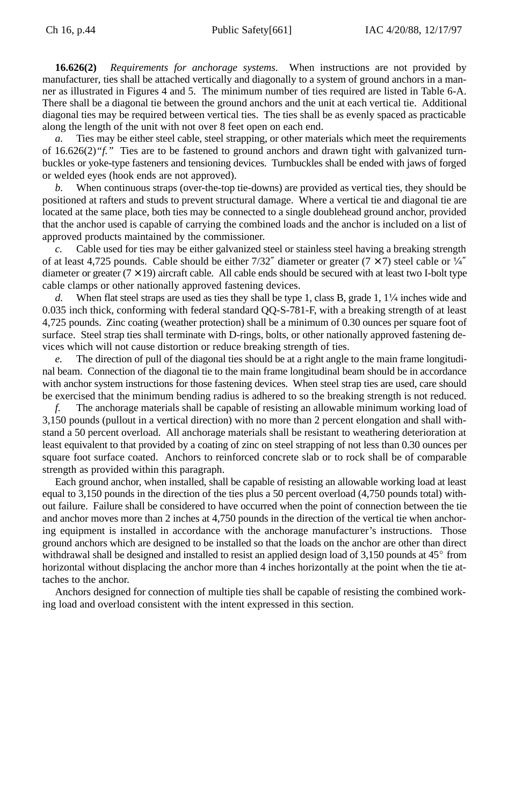**16.626(2)** *Requirements for anchorage systems*. When instructions are not provided by manufacturer, ties shall be attached vertically and diagonally to a system of ground anchors in a manner as illustrated in Figures 4 and 5. The minimum number of ties required are listed in Table 6-A. There shall be a diagonal tie between the ground anchors and the unit at each vertical tie. Additional diagonal ties may be required between vertical ties. The ties shall be as evenly spaced as practicable along the length of the unit with not over 8 feet open on each end.

*a.* Ties may be either steel cable, steel strapping, or other materials which meet the requirements of 16.626(2)*"f."* Ties are to be fastened to ground anchors and drawn tight with galvanized turnbuckles or yoke-type fasteners and tensioning devices. Turnbuckles shall be ended with jaws of forged or welded eyes (hook ends are not approved).

When continuous straps (over-the-top tie-downs) are provided as vertical ties, they should be positioned at rafters and studs to prevent structural damage. Where a vertical tie and diagonal tie are located at the same place, both ties may be connected to a single doublehead ground anchor, provided that the anchor used is capable of carrying the combined loads and the anchor is included on a list of approved products maintained by the commissioner.

*c.* Cable used for ties may be either galvanized steel or stainless steel having a breaking strength of at least 4,725 pounds. Cable should be either 7/32" diameter or greater (7  $\times$  7) steel cable or  $\frac{1}{4}$ " diameter or greater  $(7 \times 19)$  aircraft cable. All cable ends should be secured with at least two I-bolt type cable clamps or other nationally approved fastening devices.

When flat steel straps are used as ties they shall be type 1, class B, grade 1,  $1/4$  inches wide and 0.035 inch thick, conforming with federal standard QQ-S-781-F, with a breaking strength of at least 4,725 pounds. Zinc coating (weather protection) shall be a minimum of 0.30 ounces per square foot of surface. Steel strap ties shall terminate with D-rings, bolts, or other nationally approved fastening devices which will not cause distortion or reduce breaking strength of ties.

The direction of pull of the diagonal ties should be at a right angle to the main frame longitudinal beam. Connection of the diagonal tie to the main frame longitudinal beam should be in accordance with anchor system instructions for those fastening devices. When steel strap ties are used, care should be exercised that the minimum bending radius is adhered to so the breaking strength is not reduced.

*f.* The anchorage materials shall be capable of resisting an allowable minimum working load of 3,150 pounds (pullout in a vertical direction) with no more than 2 percent elongation and shall withstand a 50 percent overload. All anchorage materials shall be resistant to weathering deterioration at least equivalent to that provided by a coating of zinc on steel strapping of not less than 0.30 ounces per square foot surface coated. Anchors to reinforced concrete slab or to rock shall be of comparable strength as provided within this paragraph.

Each ground anchor, when installed, shall be capable of resisting an allowable working load at least equal to 3,150 pounds in the direction of the ties plus a 50 percent overload (4,750 pounds total) without failure. Failure shall be considered to have occurred when the point of connection between the tie and anchor moves more than 2 inches at 4,750 pounds in the direction of the vertical tie when anchoring equipment is installed in accordance with the anchorage manufacturer's instructions. Those extend anchors which are designed to be installed so that the loads on the anchor are other than direct withdrawal shall be designed and installed to resist an applied design load of 3,150 pounds at 45° from horizontal without displacing the anchor more than 4 inches horizontally at the point when the tie attaches to the anchor.

Anchors designed for connection of multiple ties shall be capable of resisting the combined working load and overload consistent with the intent expressed in this section.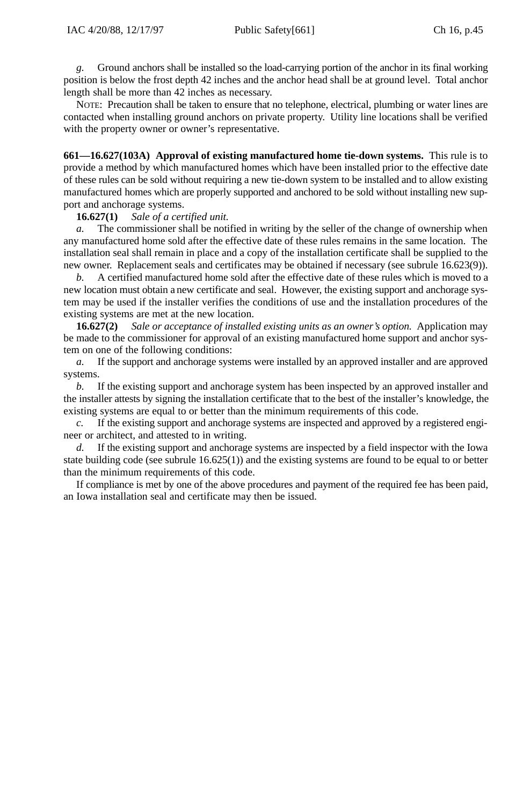*g.* Ground anchors shall be installed so the load-carrying portion of the anchor in its final working position is below the frost depth 42 inches and the anchor head shall be at ground level. Total anchor length shall be more than 42 inches as necessary.

NOTE: Precaution shall be taken to ensure that no telephone, electrical, plumbing or water lines are contacted when installing ground anchors on private property. Utility line locations shall be verified with the property owner or owner's representative.

**661—16.627(103A) Approval of existing manufactured home tie-down systems.** This rule is to provide a method by which manufactured homes which have been installed prior to the effective date of these rules can be sold without requiring a new tie-down system to be installed and to allow existing manufactured homes which are properly supported and anchored to be sold without installing new support and anchorage systems.

### **16.627(1)** *Sale of a certified unit.*

*a.* The commissioner shall be notified in writing by the seller of the change of ownership when any manufactured home sold after the effective date of these rules remains in the same location. The installation seal shall remain in place and a copy of the installation certificate shall be supplied to the new owner. Replacement seals and certificates may be obtained if necessary (see subrule 16.623(9)).

*b.* A certified manufactured home sold after the effective date of these rules which is moved to a new location must obtain a new certificate and seal. However, the existing support and anchorage system may be used if the installer verifies the conditions of use and the installation procedures of the existing systems are met at the new location.

**16.627(2)** *Sale or acceptance of installed existing units as an owner's option.* Application may be made to the commissioner for approval of an existing manufactured home support and anchor system on one of the following conditions:

*a.* If the support and anchorage systems were installed by an approved installer and are approved systems.

*b.* If the existing support and anchorage system has been inspected by an approved installer and the installer attests by signing the installation certificate that to the best of the installer's knowledge, the existing systems are equal to or better than the minimum requirements of this code.

If the existing support and anchorage systems are inspected and approved by a registered engineer or architect, and attested to in writing.

*d.* If the existing support and anchorage systems are inspected by a field inspector with the Iowa state building code (see subrule 16.625(1)) and the existing systems are found to be equal to or better than the minimum requirements of this code.

If compliance is met by one of the above procedures and payment of the required fee has been paid, an Iowa installation seal and certificate may then be issued.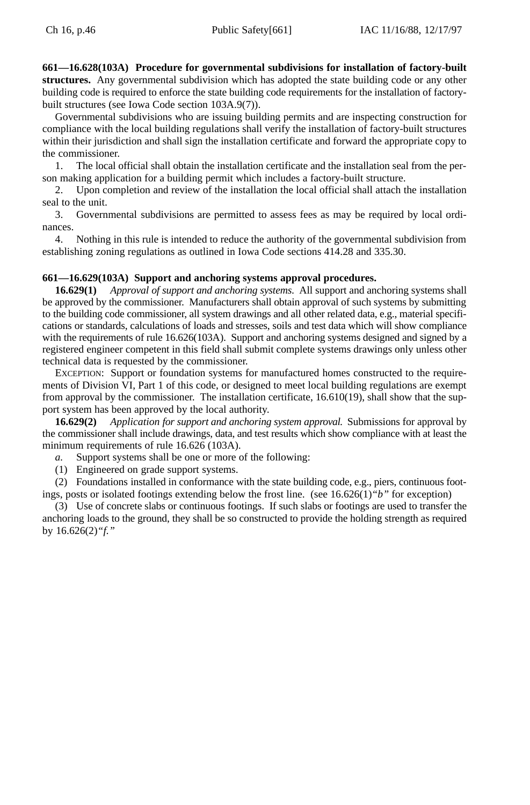**661—16.628(103A) Procedure for governmental subdivisions for installation of factory-built structures.** Any governmental subdivision which has adopted the state building code or any other building code is required to enforce the state building code requirements for the installation of factorybuilt structures (see Iowa Code section 103A.9(7)).

Governmental subdivisions who are issuing building permits and are inspecting construction for compliance with the local building regulations shall verify the installation of factory-built structures within their jurisdiction and shall sign the installation certificate and forward the appropriate copy to the commissioner.

1. The local official shall obtain the installation certificate and the installation seal from the person making application for a building permit which includes a factory-built structure.

2. Upon completion and review of the installation the local official shall attach the installation seal to the unit.

3. Governmental subdivisions are permitted to assess fees as may be required by local ordinances.

4. Nothing in this rule is intended to reduce the authority of the governmental subdivision from establishing zoning regulations as outlined in Iowa Code sections 414.28 and 335.30.

# **661—16.629(103A) Support and anchoring systems approval procedures.**

**16.629(1)** *Approval of support and anchoring systems.* All support and anchoring systems shall be approved by the commissioner. Manufacturers shall obtain approval of such systems by submitting to the building code commissioner, all system drawings and all other related data, e.g., material specifications or standards, calculations of loads and stresses, soils and test data which will show compliance with the requirements of rule 16.626(103A). Support and anchoring systems designed and signed by a registered engineer competent in this field shall submit complete systems drawings only unless other technical data is requested by the commissioner.

EXCEPTION: Support or foundation systems for manufactured homes constructed to the requirements of Division VI, Part 1 of this code, or designed to meet local building regulations are exempt from approval by the commissioner. The installation certificate, 16.610(19), shall show that the support system has been approved by the local authority.

**16.629(2)** *Application for support and anchoring system approval.* Submissions for approval by the commissioner shall include drawings, data, and test results which show compliance with at least the minimum requirements of rule 16.626 (103A).

*a.* Support systems shall be one or more of the following:

(1) Engineered on grade support systems.

(2) Foundations installed in conformance with the state building code, e.g., piers, continuous footings, posts or isolated footings extending below the frost line. (see 16.626(1)*"b"* for exception)

(3) Use of concrete slabs or continuous footings. If such slabs or footings are used to transfer the anchoring loads to the ground, they shall be so constructed to provide the holding strength as required by 16.626(2)*"f."*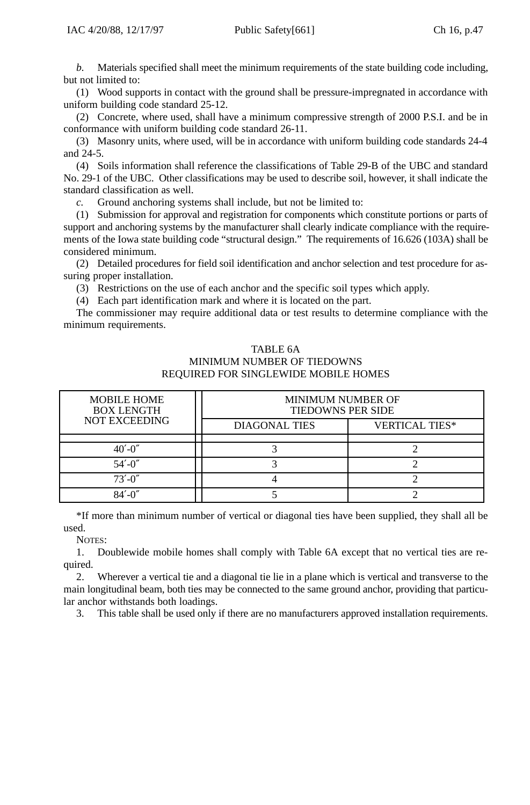*b.* Materials specified shall meet the minimum requirements of the state building code including, but not limited to:

(1) Wood supports in contact with the ground shall be pressure-impregnated in accordance with uniform building code standard 25-12.

(2) Concrete, where used, shall have a minimum compressive strength of 2000 P.S.I. and be in conformance with uniform building code standard 26-11.

(3) Masonry units, where used, will be in accordance with uniform building code standards 24-4 and 24-5.

(4) Soils information shall reference the classifications of Table 29-B of the UBC and standard No. 29-1 of the UBC. Other classifications may be used to describe soil, however, it shall indicate the standard classification as well.

*c.* Ground anchoring systems shall include, but not be limited to:

(1) Submission for approval and registration for components which constitute portions or parts of support and anchoring systems by the manufacturer shall clearly indicate compliance with the requirements of the Iowa state building code "structural design." The requirements of 16.626 (103A) shall be considered minimum.

(2) Detailed procedures for field soil identification and anchor selection and test procedure for assuring proper installation.

(3) Restrictions on the use of each anchor and the specific soil types which apply.

(4) Each part identification mark and where it is located on the part.

The commissioner may require additional data or test results to determine compliance with the minimum requirements.

# TABLE 6A MINIMUM NUMBER OF TIEDOWNS REQUIRED FOR SINGLEWIDE MOBILE HOMES

| <b>MOBILE HOME</b><br><b>BOX LENGTH</b> | <b>MINIMUM NUMBER OF</b><br><b>TIEDOWNS PER SIDE</b> |                       |  |
|-----------------------------------------|------------------------------------------------------|-----------------------|--|
| <b>NOT EXCEEDING</b>                    | <b>DIAGONAL TIES</b>                                 | <b>VERTICAL TIES*</b> |  |
|                                         |                                                      |                       |  |
| $40'$ -0"                               |                                                      |                       |  |
| $54' - 0''$                             |                                                      |                       |  |
| $73' - 0''$                             |                                                      |                       |  |
|                                         |                                                      |                       |  |

\*If more than minimum number of vertical or diagonal ties have been supplied, they shall all be used.

NOTES:

1. Doublewide mobile homes shall comply with Table 6A except that no vertical ties are required.

2. Wherever a vertical tie and a diagonal tie lie in a plane which is vertical and transverse to the main longitudinal beam, both ties may be connected to the same ground anchor, providing that particular anchor withstands both loadings.

3. This table shall be used only if there are no manufacturers approved installation requirements.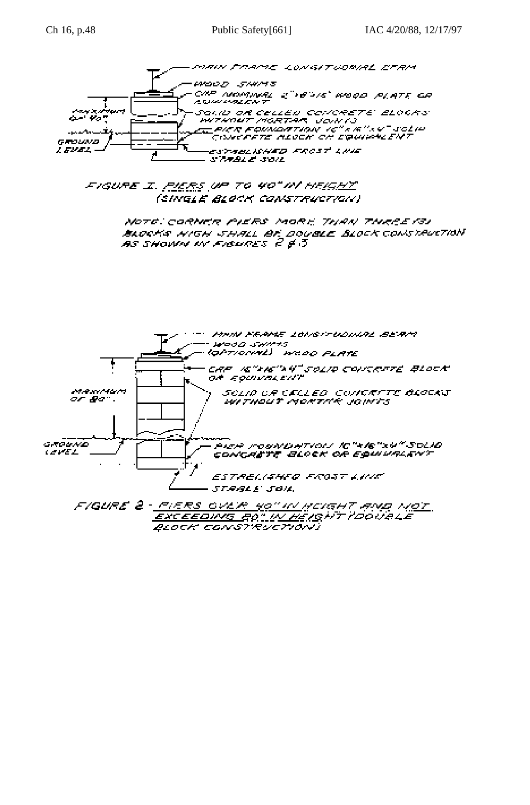



FIGURE I. <u>PIERS</u> UP TO 40" IN HEIG<u>HY</u> (SINGLE BLOCK CONSTRUCTION)

> NOTE CORNER PIERS MORE THAN THREE 131 BLOCKS NIGH SHALL BE DOUBLE BLOCK CONSTRUCTION.<br>AS SHOWN W FIGURES 2 \$ 3

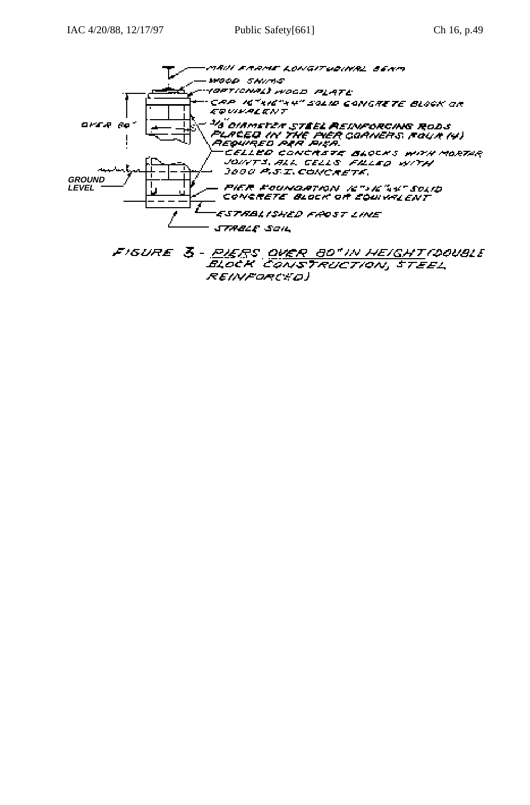

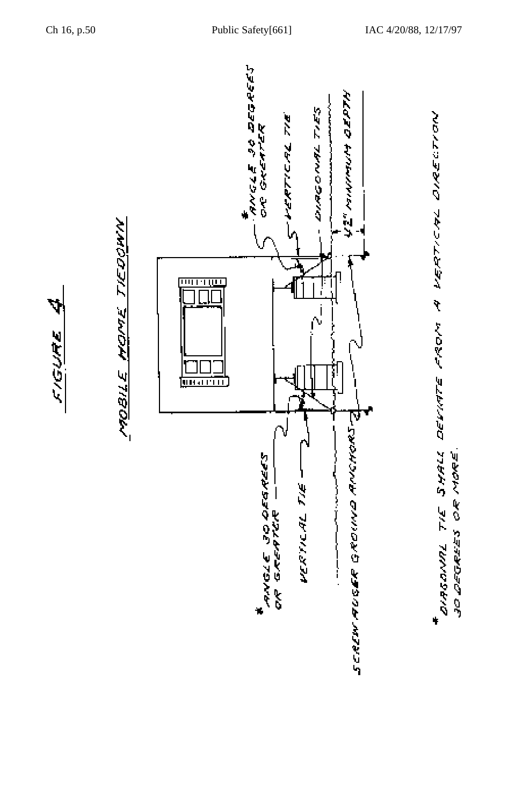





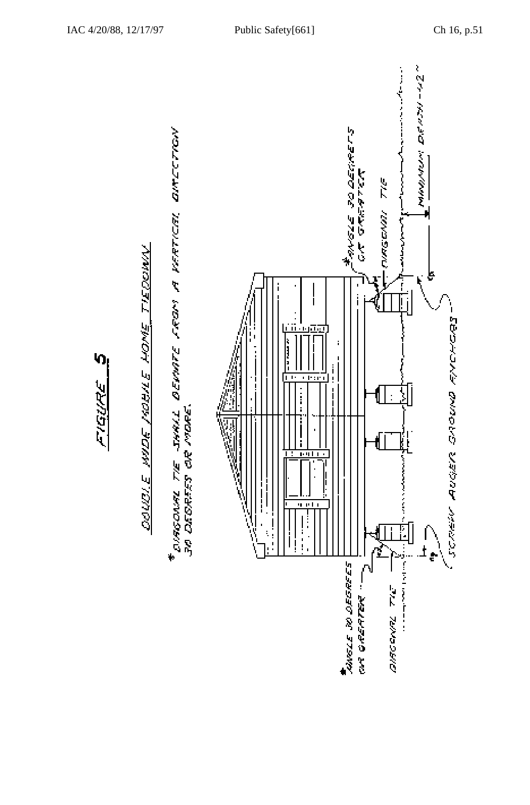

# DOUDLE HIDE MOBILE HOME TIEDOWN



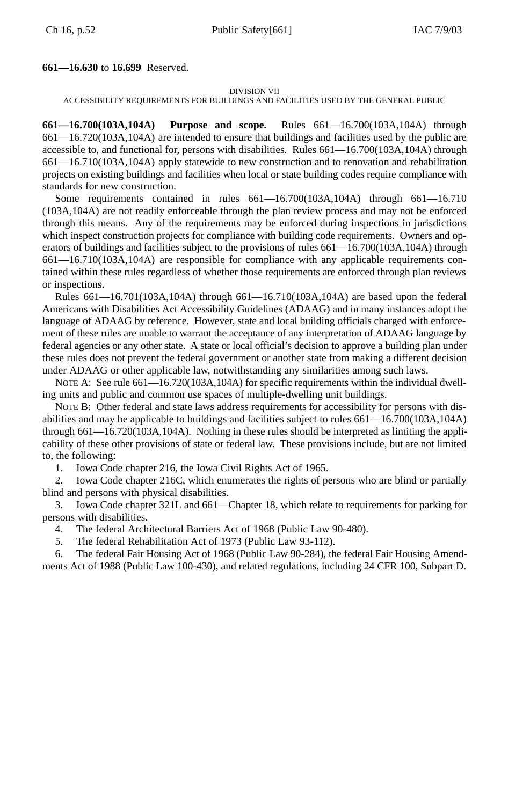# **661—16.630** to **16.699** Reserved.

### DIVISION VII

# ACCESSIBILITY REQUIREMENTS FOR BUILDINGS AND FACILITIES USED BY THE GENERAL PUBLIC

**661—16.700(103A,104A) Purpose and scope.** Rules 661—16.700(103A,104A) through 661—16.720(103A,104A) are intended to ensure that buildings and facilities used by the public are accessible to, and functional for, persons with disabilities. Rules 661—16.700(103A,104A) through 661—16.710(103A,104A) apply statewide to new construction and to renovation and rehabilitation projects on existing buildings and facilities when local or state building codes require compliance with standards for new construction.

Some requirements contained in rules 661—16.700(103A,104A) through 661—16.710 (103A,104A) are not readily enforceable through the plan review process and may not be enforced through this means. Any of the requirements may be enforced during inspections in jurisdictions which inspect construction projects for compliance with building code requirements. Owners and operators of buildings and facilities subject to the provisions of rules 661—16.700(103A,104A) through 661—16.710(103A,104A) are responsible for compliance with any applicable requirements contained within these rules regardless of whether those requirements are enforced through plan reviews or inspections.

Rules 661—16.701(103A,104A) through 661—16.710(103A,104A) are based upon the federal Americans with Disabilities Act Accessibility Guidelines (ADAAG) and in many instances adopt the language of ADAAG by reference. However, state and local building officials charged with enforcement of these rules are unable to warrant the acceptance of any interpretation of ADAAG language by federal agencies or any other state. A state or local official's decision to approve a building plan under these rules does not prevent the federal government or another state from making a different decision under ADAAG or other applicable law, notwithstanding any similarities among such laws.

NOTE A: See rule 661—16.720(103A,104A) for specific requirements within the individual dwelling units and public and common use spaces of multiple-dwelling unit buildings.

NOTE B: Other federal and state laws address requirements for accessibility for persons with disabilities and may be applicable to buildings and facilities subject to rules 661—16.700(103A,104A) through 661—16.720(103A,104A). Nothing in these rules should be interpreted as limiting the applicability of these other provisions of state or federal law. These provisions include, but are not limited to, the following:

1. Iowa Code chapter 216, the Iowa Civil Rights Act of 1965.

2. Iowa Code chapter 216C, which enumerates the rights of persons who are blind or partially blind and persons with physical disabilities.

3. Iowa Code chapter 321L and 661—Chapter 18, which relate to requirements for parking for persons with disabilities.

- 4. The federal Architectural Barriers Act of 1968 (Public Law 90-480).
- 5. The federal Rehabilitation Act of 1973 (Public Law 93-112).

6. The federal Fair Housing Act of 1968 (Public Law 90-284), the federal Fair Housing Amendments Act of 1988 (Public Law 100-430), and related regulations, including 24 CFR 100, Subpart D.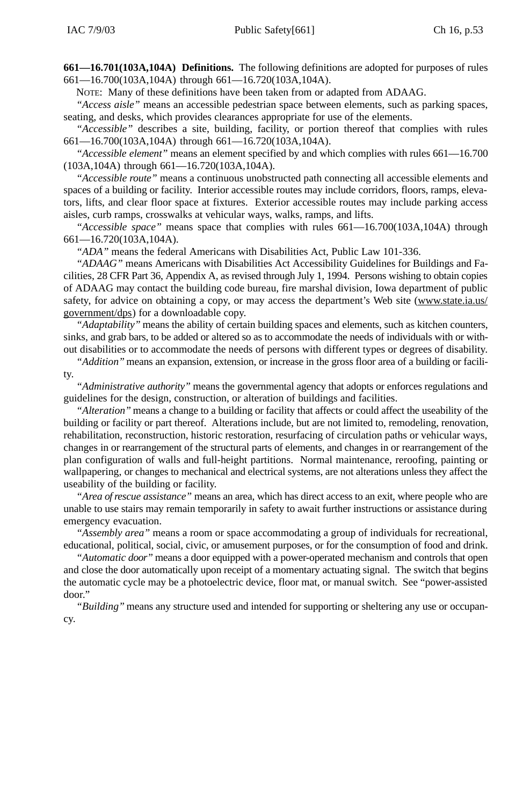**661—16.701(103A,104A) Definitions.** The following definitions are adopted for purposes of rules 661—16.700(103A,104A) through 661—16.720(103A,104A).

NOTE: Many of these definitions have been taken from or adapted from ADAAG.

*"Access aisle"* means an accessible pedestrian space between elements, such as parking spaces, seating, and desks, which provides clearances appropriate for use of the elements.

*"Accessible"* describes a site, building, facility, or portion thereof that complies with rules 661—16.700(103A,104A) through 661—16.720(103A,104A).

*"Accessible element"* means an element specified by and which complies with rules 661—16.700 (103A,104A) through 661—16.720(103A,104A).

*"Accessible route"* means a continuous unobstructed path connecting all accessible elements and spaces of a building or facility. Interior accessible routes may include corridors, floors, ramps, elevators, lifts, and clear floor space at fixtures. Exterior accessible routes may include parking access aisles, curb ramps, crosswalks at vehicular ways, walks, ramps, and lifts.

*"Accessible space"* means space that complies with rules 661—16.700(103A,104A) through 661—16.720(103A,104A).

*"ADA"* means the federal Americans with Disabilities Act, Public Law 101-336.

*"ADAAG"* means Americans with Disabilities Act Accessibility Guidelines for Buildings and Facilities, 28 CFR Part 36, Appendix A, as revised through July 1, 1994. Persons wishing to obtain copies of ADAAG may contact the building code bureau, fire marshal division, Iowa department of public safety, for advice on obtaining a copy, or may access the department's Web site (www.state.ia.us/ government/dps) for a downloadable copy.

*"Adaptability"* means the ability of certain building spaces and elements, such as kitchen counters, sinks, and grab bars, to be added or altered so as to accommodate the needs of individuals with or without disabilities or to accommodate the needs of persons with different types or degrees of disability.

*"Addition"* means an expansion, extension, or increase in the gross floor area of a building or facility.

*"Administrative authority"* means the governmental agency that adopts or enforces regulations and guidelines for the design, construction, or alteration of buildings and facilities.

*"Alteration"* means a change to a building or facility that affects or could affect the useability of the building or facility or part thereof. Alterations include, but are not limited to, remodeling, renovation, rehabilitation, reconstruction, historic restoration, resurfacing of circulation paths or vehicular ways, changes in or rearrangement of the structural parts of elements, and changes in or rearrangement of the plan configuration of walls and full-height partitions. Normal maintenance, reroofing, painting or wallpapering, or changes to mechanical and electrical systems, are not alterations unless they affect the useability of the building or facility.

*"Area of rescue assistance"* means an area, which has direct access to an exit, where people who are unable to use stairs may remain temporarily in safety to await further instructions or assistance during emergency evacuation.

*"Assembly area"* means a room or space accommodating a group of individuals for recreational, educational, political, social, civic, or amusement purposes, or for the consumption of food and drink.

*"Automatic door"* means a door equipped with a power-operated mechanism and controls that open and close the door automatically upon receipt of a momentary actuating signal. The switch that begins the automatic cycle may be a photoelectric device, floor mat, or manual switch. See "power-assisted door."

*"Building"* means any structure used and intended for supporting or sheltering any use or occupancy.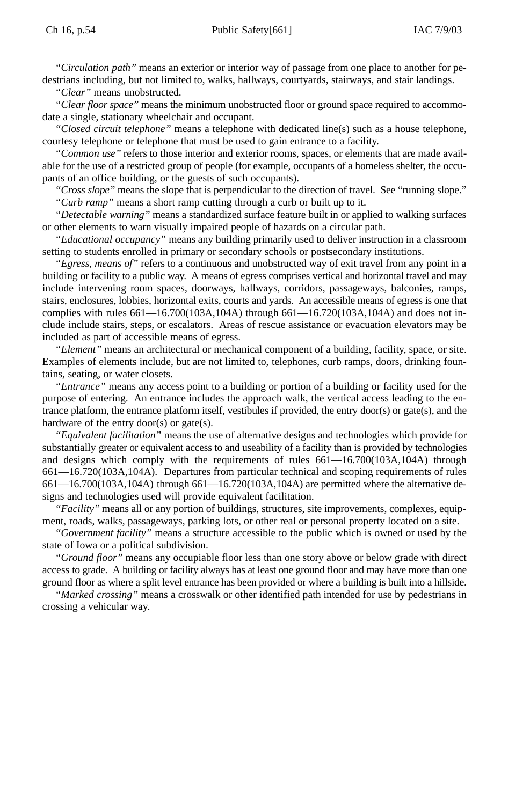*"Circulation path"* means an exterior or interior way of passage from one place to another for pedestrians including, but not limited to, walks, hallways, courtyards, stairways, and stair landings.

*"Clear"* means unobstructed.

*"Clear floor space"* means the minimum unobstructed floor or ground space required to accommodate a single, stationary wheelchair and occupant.

*"Closed circuit telephone"* means a telephone with dedicated line(s) such as a house telephone, courtesy telephone or telephone that must be used to gain entrance to a facility.

*"Common use"* refers to those interior and exterior rooms, spaces, or elements that are made available for the use of a restricted group of people (for example, occupants of a homeless shelter, the occupants of an office building, or the guests of such occupants).

*"Cross slope"* means the slope that is perpendicular to the direction of travel. See "running slope." *"Curb ramp"* means a short ramp cutting through a curb or built up to it.

*"Detectable warning"* means a standardized surface feature built in or applied to walking surfaces or other elements to warn visually impaired people of hazards on a circular path.

*"Educational occupancy"* means any building primarily used to deliver instruction in a classroom setting to students enrolled in primary or secondary schools or postsecondary institutions.

*"Egress, means of"* refers to a continuous and unobstructed way of exit travel from any point in a building or facility to a public way. A means of egress comprises vertical and horizontal travel and may include intervening room spaces, doorways, hallways, corridors, passageways, balconies, ramps, stairs, enclosures, lobbies, horizontal exits, courts and yards. An accessible means of egress is one that complies with rules 661—16.700(103A,104A) through 661—16.720(103A,104A) and does not include include stairs, steps, or escalators. Areas of rescue assistance or evacuation elevators may be included as part of accessible means of egress.

*"Element"* means an architectural or mechanical component of a building, facility, space, or site. Examples of elements include, but are not limited to, telephones, curb ramps, doors, drinking fountains, seating, or water closets.

*"Entrance"* means any access point to a building or portion of a building or facility used for the purpose of entering. An entrance includes the approach walk, the vertical access leading to the entrance platform, the entrance platform itself, vestibules if provided, the entry door(s) or gate(s), and the hardware of the entry door(s) or gate(s).

*"Equivalent facilitation"* means the use of alternative designs and technologies which provide for substantially greater or equivalent access to and useability of a facility than is provided by technologies and designs which comply with the requirements of rules 661—16.700(103A,104A) through 661—16.720(103A,104A). Departures from particular technical and scoping requirements of rules 661—16.700(103A,104A) through 661—16.720(103A,104A) are permitted where the alternative designs and technologies used will provide equivalent facilitation.

*"Facility"* means all or any portion of buildings, structures, site improvements, complexes, equipment, roads, walks, passageways, parking lots, or other real or personal property located on a site.

*"Government facility"* means a structure accessible to the public which is owned or used by the state of Iowa or a political subdivision.

*"Ground floor"* means any occupiable floor less than one story above or below grade with direct access to grade. A building or facility always has at least one ground floor and may have more than one ground floor as where a split level entrance has been provided or where a building is built into a hillside.

*"Marked crossing"* means a crosswalk or other identified path intended for use by pedestrians in crossing a vehicular way.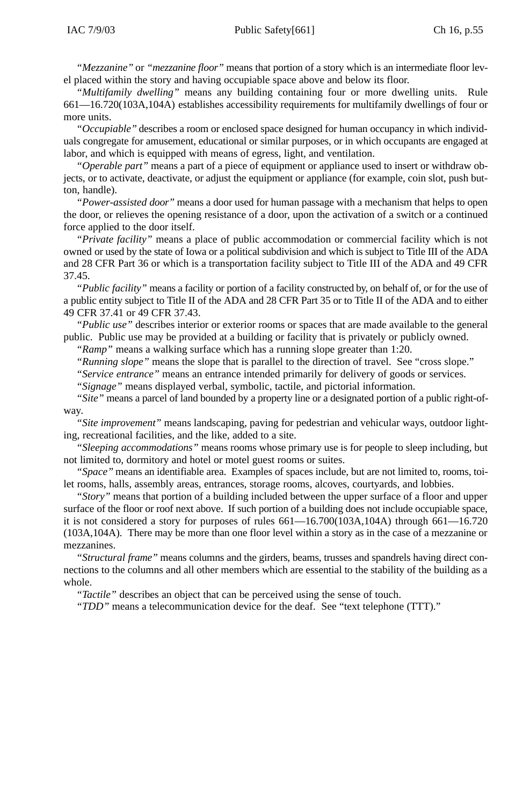*"Mezzanine"* or *"mezzanine floor"* means that portion of a story which is an intermediate floor level placed within the story and having occupiable space above and below its floor.

*"Multifamily dwelling"* means any building containing four or more dwelling units. Rule 661—16.720(103A,104A) establishes accessibility requirements for multifamily dwellings of four or more units.

*"Occupiable"* describes a room or enclosed space designed for human occupancy in which individuals congregate for amusement, educational or similar purposes, or in which occupants are engaged at labor, and which is equipped with means of egress, light, and ventilation.

*"Operable part"* means a part of a piece of equipment or appliance used to insert or withdraw objects, or to activate, deactivate, or adjust the equipment or appliance (for example, coin slot, push button, handle).

*"Power-assisted door"* means a door used for human passage with a mechanism that helps to open the door, or relieves the opening resistance of a door, upon the activation of a switch or a continued force applied to the door itself.

*"Private facility"* means a place of public accommodation or commercial facility which is not owned or used by the state of Iowa or a political subdivision and which is subject to Title III of the ADA and 28 CFR Part 36 or which is a transportation facility subject to Title III of the ADA and 49 CFR 37.45.

*"Public facility"* means a facility or portion of a facility constructed by, on behalf of, or for the use of a public entity subject to Title II of the ADA and 28 CFR Part 35 or to Title II of the ADA and to either 49 CFR 37.41 or 49 CFR 37.43.

*"Public use"* describes interior or exterior rooms or spaces that are made available to the general public. Public use may be provided at a building or facility that is privately or publicly owned.

*"Ramp"* means a walking surface which has a running slope greater than 1:20.

*"Running slope"* means the slope that is parallel to the direction of travel. See "cross slope."

*"Service entrance"* means an entrance intended primarily for delivery of goods or services.

*"Signage"* means displayed verbal, symbolic, tactile, and pictorial information.

*"Site"* means a parcel of land bounded by a property line or a designated portion of a public right-ofway.

*"Site improvement"* means landscaping, paving for pedestrian and vehicular ways, outdoor lighting, recreational facilities, and the like, added to a site.

*"Sleeping accommodations"* means rooms whose primary use is for people to sleep including, but not limited to, dormitory and hotel or motel guest rooms or suites.

*"Space"* means an identifiable area. Examples of spaces include, but are not limited to, rooms, toilet rooms, halls, assembly areas, entrances, storage rooms, alcoves, courtyards, and lobbies.

*"Story"* means that portion of a building included between the upper surface of a floor and upper surface of the floor or roof next above. If such portion of a building does not include occupiable space, it is not considered a story for purposes of rules 661—16.700(103A,104A) through 661—16.720 (103A,104A). There may be more than one floor level within a story as in the case of a mezzanine or mezzanines.

*"Structural frame"* means columns and the girders, beams, trusses and spandrels having direct connections to the columns and all other members which are essential to the stability of the building as a whole.

*"Tactile"* describes an object that can be perceived using the sense of touch.

*"TDD"* means a telecommunication device for the deaf. See "text telephone (TTT)."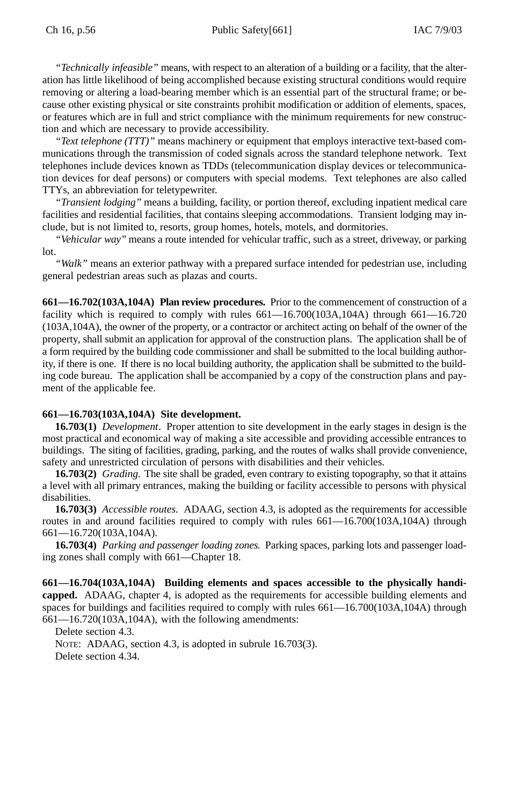*"Technically infeasible"* means, with respect to an alteration of a building or a facility, that the alteration has little likelihood of being accomplished because existing structural conditions would require removing or altering a load-bearing member which is an essential part of the structural frame; or because other existing physical or site constraints prohibit modification or addition of elements, spaces, or features which are in full and strict compliance with the minimum requirements for new construction and which are necessary to provide accessibility.

*"Text telephone (TTT)"* means machinery or equipment that employs interactive text-based communications through the transmission of coded signals across the standard telephone network. Text telephones include devices known as TDDs (telecommunication display devices or telecommunication devices for deaf persons) or computers with special modems. Text telephones are also called TTYs, an abbreviation for teletypewriter.

*"Transient lodging"* means a building, facility, or portion thereof, excluding inpatient medical care facilities and residential facilities, that contains sleeping accommodations. Transient lodging may include, but is not limited to, resorts, group homes, hotels, motels, and dormitories.

*"Vehicular way"* means a route intended for vehicular traffic, such as a street, driveway, or parking lot.

*"Walk"* means an exterior pathway with a prepared surface intended for pedestrian use, including general pedestrian areas such as plazas and courts.

**661—16.702(103A,104A) Plan review procedures.** Prior to the commencement of construction of a facility which is required to comply with rules  $661-16.700(103A,104A)$  through  $661-16.720$ (103A,104A), the owner of the property, or a contractor or architect acting on behalf of the owner of the property, shall submit an application for approval of the construction plans. The application shall be of a form required by the building code commissioner and shall be submitted to the local building authority, if there is one. If there is no local building authority, the application shall be submitted to the building code bureau. The application shall be accompanied by a copy of the construction plans and payment of the applicable fee.

# **661—16.703(103A,104A) Site development.**

**16.703(1)** *Development*. Proper attention to site development in the early stages in design is the most practical and economical way of making a site accessible and providing accessible entrances to buildings. The siting of facilities, grading, parking, and the routes of walks shall provide convenience, safety and unrestricted circulation of persons with disabilities and their vehicles.

**16.703(2)** *Grading.* The site shall be graded, even contrary to existing topography, so that it attains a level with all primary entrances, making the building or facility accessible to persons with physical disabilities.

**16.703(3)** *Accessible routes.* ADAAG, section 4.3, is adopted as the requirements for accessible routes in and around facilities required to comply with rules 661—16.700(103A,104A) through 661—16.720(103A,104A).

**16.703(4)** *Parking and passenger loading zones.* Parking spaces, parking lots and passenger loading zones shall comply with 661—Chapter 18.

**661—16.704(103A,104A) Building elements and spaces accessible to the physically handicapped.** ADAAG, chapter 4, is adopted as the requirements for accessible building elements and spaces for buildings and facilities required to comply with rules  $661-16.700(103A,104A)$  through 661—16.720(103A,104A), with the following amendments:

Delete section 4.3.

NOTE: ADAAG, section 4.3, is adopted in subrule 16.703(3). Delete section 4.34.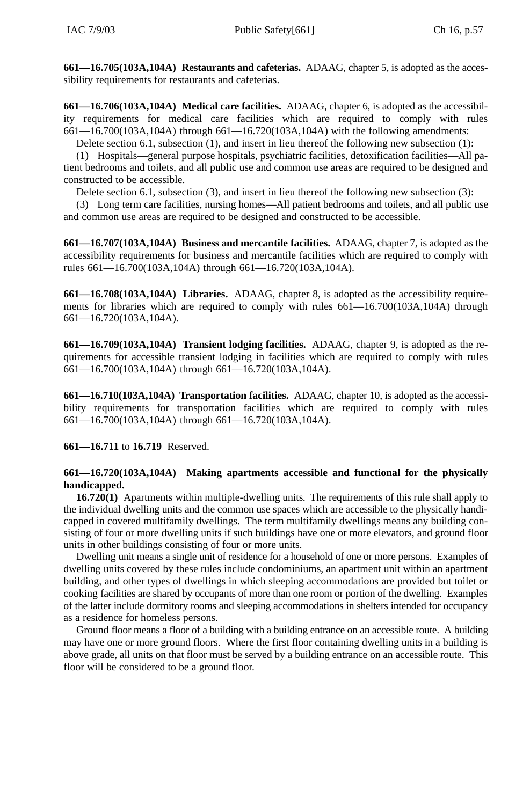**661—16.705(103A,104A) Restaurants and cafeterias.** ADAAG, chapter 5, is adopted as the accessibility requirements for restaurants and cafeterias.

**661—16.706(103A,104A) Medical care facilities.** ADAAG, chapter 6, is adopted as the accessibility requirements for medical care facilities which are required to comply with rules 661—16.700(103A,104A) through 661—16.720(103A,104A) with the following amendments:

Delete section 6.1, subsection (1), and insert in lieu thereof the following new subsection (1):

(1) Hospitals—general purpose hospitals, psychiatric facilities, detoxification facilities—All patient bedrooms and toilets, and all public use and common use areas are required to be designed and constructed to be accessible.

Delete section 6.1, subsection (3), and insert in lieu thereof the following new subsection (3):

(3) Long term care facilities, nursing homes—All patient bedrooms and toilets, and all public use and common use areas are required to be designed and constructed to be accessible.

**661—16.707(103A,104A) Business and mercantile facilities.** ADAAG, chapter 7, is adopted as the accessibility requirements for business and mercantile facilities which are required to comply with rules 661—16.700(103A,104A) through 661—16.720(103A,104A).

**661—16.708(103A,104A) Libraries.** ADAAG, chapter 8, is adopted as the accessibility requirements for libraries which are required to comply with rules 661—16.700(103A,104A) through 661—16.720(103A,104A).

**661—16.709(103A,104A) Transient lodging facilities.** ADAAG, chapter 9, is adopted as the requirements for accessible transient lodging in facilities which are required to comply with rules 661—16.700(103A,104A) through 661—16.720(103A,104A).

**661—16.710(103A,104A) Transportation facilities.** ADAAG, chapter 10, is adopted as the accessibility requirements for transportation facilities which are required to comply with rules 661—16.700(103A,104A) through 661—16.720(103A,104A).

**661—16.711** to **16.719** Reserved.

# **661—16.720(103A,104A) Making apartments accessible and functional for the physically handicapped.**

**16.720(1)** Apartments within multiple-dwelling units*.* The requirements of this rule shall apply to the individual dwelling units and the common use spaces which are accessible to the physically handicapped in covered multifamily dwellings. The term multifamily dwellings means any building consisting of four or more dwelling units if such buildings have one or more elevators, and ground floor units in other buildings consisting of four or more units.

Dwelling unit means a single unit of residence for a household of one or more persons. Examples of dwelling units covered by these rules include condominiums, an apartment unit within an apartment building, and other types of dwellings in which sleeping accommodations are provided but toilet or cooking facilities are shared by occupants of more than one room or portion of the dwelling. Examples of the latter include dormitory rooms and sleeping accommodations in shelters intended for occupancy as a residence for homeless persons.

Ground floor means a floor of a building with a building entrance on an accessible route. A building may have one or more ground floors. Where the first floor containing dwelling units in a building is above grade, all units on that floor must be served by a building entrance on an accessible route. This floor will be considered to be a ground floor.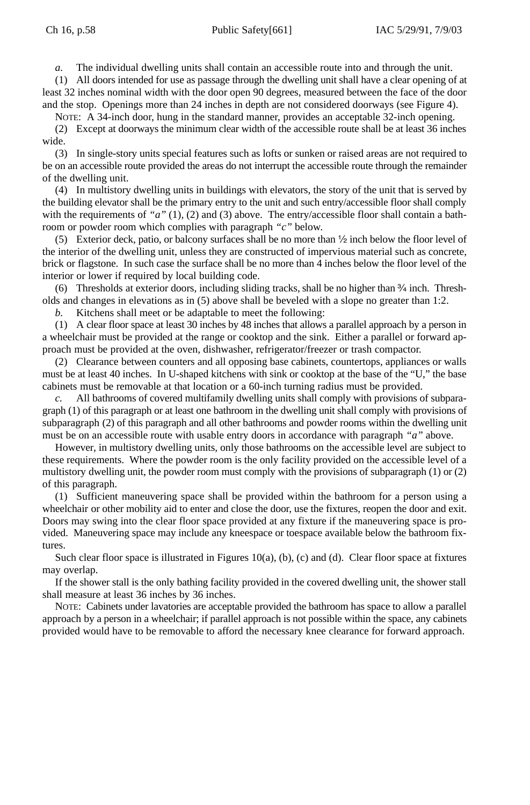*a.* The individual dwelling units shall contain an accessible route into and through the unit.

(1) All doors intended for use as passage through the dwelling unit shall have a clear opening of at least 32 inches nominal width with the door open 90 degrees, measured between the face of the door and the stop. Openings more than 24 inches in depth are not considered doorways (see Figure 4).

NOTE: A 34-inch door, hung in the standard manner, provides an acceptable 32-inch opening.

(2) Except at doorways the minimum clear width of the accessible route shall be at least 36 inches wide.

(3) In single-story units special features such as lofts or sunken or raised areas are not required to be on an accessible route provided the areas do not interrupt the accessible route through the remainder of the dwelling unit.

(4) In multistory dwelling units in buildings with elevators, the story of the unit that is served by the building elevator shall be the primary entry to the unit and such entry/accessible floor shall comply with the requirements of "a" (1), (2) and (3) above. The entry/accessible floor shall contain a bathroom or powder room which complies with paragraph *"c"* below.

(5) Exterior deck, patio, or balcony surfaces shall be no more than ½ inch below the floor level of the interior of the dwelling unit, unless they are constructed of impervious material such as concrete, brick or flagstone. In such case the surface shall be no more than 4 inches below the floor level of the interior or lower if required by local building code.

(6) Thresholds at exterior doors, including sliding tracks, shall be no higher than  $\frac{3}{4}$  inch. Thresholds and changes in elevations as in (5) above shall be beveled with a slope no greater than 1:2.

*b.* Kitchens shall meet or be adaptable to meet the following:

(1) A clear floor space at least 30 inches by 48 inches that allows a parallel approach by a person in a wheelchair must be provided at the range or cooktop and the sink. Either a parallel or forward approach must be provided at the oven, dishwasher, refrigerator/freezer or trash compactor.

(2) Clearance between counters and all opposing base cabinets, countertops, appliances or walls must be at least 40 inches. In U-shaped kitchens with sink or cooktop at the base of the "U," the base cabinets must be removable at that location or a 60-inch turning radius must be provided.

*c.* All bathrooms of covered multifamily dwelling units shall comply with provisions of subparagraph (1) of this paragraph or at least one bathroom in the dwelling unit shall comply with provisions of subparagraph (2) of this paragraph and all other bathrooms and powder rooms within the dwelling unit must be on an accessible route with usable entry doors in accordance with paragraph *"a"* above.

However, in multistory dwelling units, only those bathrooms on the accessible level are subject to these requirements. Where the powder room is the only facility provided on the accessible level of a multistory dwelling unit, the powder room must comply with the provisions of subparagraph (1) or (2) of this paragraph.

(1) Sufficient maneuvering space shall be provided within the bathroom for a person using a wheelchair or other mobility aid to enter and close the door, use the fixtures, reopen the door and exit. Doors may swing into the clear floor space provided at any fixture if the maneuvering space is provided. Maneuvering space may include any kneespace or toespace available below the bathroom fixtures.

Such clear floor space is illustrated in Figures 10(a), (b), (c) and (d). Clear floor space at fixtures may overlap.

If the shower stall is the only bathing facility provided in the covered dwelling unit, the shower stall shall measure at least 36 inches by 36 inches.

NOTE: Cabinets under lavatories are acceptable provided the bathroom has space to allow a parallel approach by a person in a wheelchair; if parallel approach is not possible within the space, any cabinets provided would have to be removable to afford the necessary knee clearance for forward approach.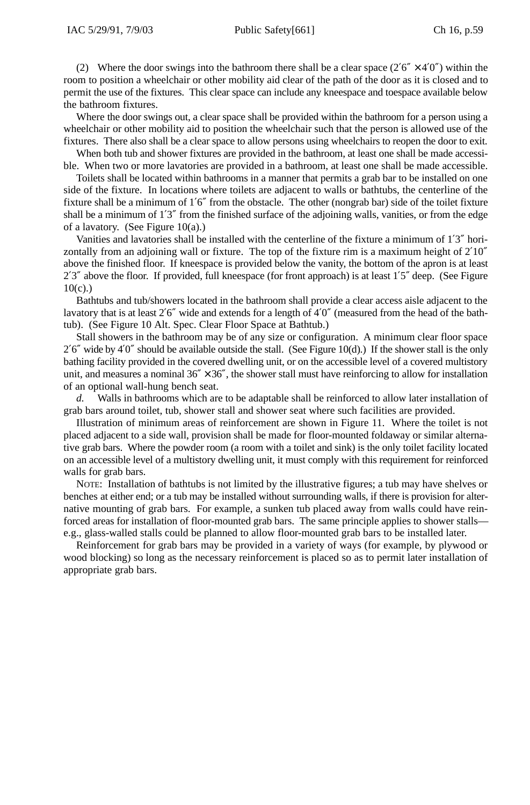(2) Where the door swings into the bathroom there shall be a clear space ( $2'6'' \times 4'0''$ ) within the room to position a wheelchair or other mobility aid clear of the path of the door as it is closed and to permit the use of the fixtures. This clear space can include any kneespace and toespace available below the bathroom fixtures.

Where the door swings out, a clear space shall be provided within the bathroom for a person using a wheelchair or other mobility aid to position the wheelchair such that the person is allowed use of the fixtures. There also shall be a clear space to allow persons using wheelchairs to reopen the door to exit.

When both tub and shower fixtures are provided in the bathroom, at least one shall be made accessible. When two or more lavatories are provided in a bathroom, at least one shall be made accessible.

Toilets shall be located within bathrooms in a manner that permits a grab bar to be installed on one side of the fixture. In locations where toilets are adjacent to walls or bathtubs, the centerline of the fixture shall be a minimum of 1′6″ from the obstacle. The other (nongrab bar) side of the toilet fixture shall be a minimum of 1'3" from the finished surface of the adjoining walls, vanities, or from the edge of a lavatory. (See Figure 10(a).)

Vanities and lavatories shall be installed with the centerline of the fixture a minimum of 1′3″ horizontally from an adjoining wall or fixture. The top of the fixture rim is a maximum height of 2′10″ above the finished floor. If kneespace is provided below the vanity, the bottom of the apron is at least 2'3" above the floor. If provided, full kneespace (for front approach) is at least 1'5" deep. (See Figure  $10(c)$ .)

Bathtubs and tub/showers located in the bathroom shall provide a clear access aisle adjacent to the lavatory that is at least 2′6″ wide and extends for a length of 4′0″ (measured from the head of the bathtub). (See Figure 10 Alt. Spec. Clear Floor Space at Bathtub.)

Stall showers in the bathroom may be of any size or configuration. A minimum clear floor space  $2'6''$  wide by  $4'0''$  should be available outside the stall. (See Figure 10(d).) If the shower stall is the only bathing facility provided in the covered dwelling unit, or on the accessible level of a covered multistory unit, and measures a nominal  $36'' \times 36''$ , the shower stall must have reinforcing to allow for installation of an optional wall-hung bench seat.

*d.* Walls in bathrooms which are to be adaptable shall be reinforced to allow later installation of grab bars around toilet, tub, shower stall and shower seat where such facilities are provided.

Illustration of minimum areas of reinforcement are shown in Figure 11. Where the toilet is not placed adjacent to a side wall, provision shall be made for floor-mounted foldaway or similar alternative grab bars. Where the powder room (a room with a toilet and sink) is the only toilet facility located on an accessible level of a multistory dwelling unit, it must comply with this requirement for reinforced walls for grab bars.

NOTE: Installation of bathtubs is not limited by the illustrative figures; a tub may have shelves or benches at either end; or a tub may be installed without surrounding walls, if there is provision for alternative mounting of grab bars. For example, a sunken tub placed away from walls could have reinforced areas for installation of floor-mounted grab bars. The same principle applies to shower stalls e.g., glass-walled stalls could be planned to allow floor-mounted grab bars to be installed later.

Reinforcement for grab bars may be provided in a variety of ways (for example, by plywood or wood blocking) so long as the necessary reinforcement is placed so as to permit later installation of appropriate grab bars.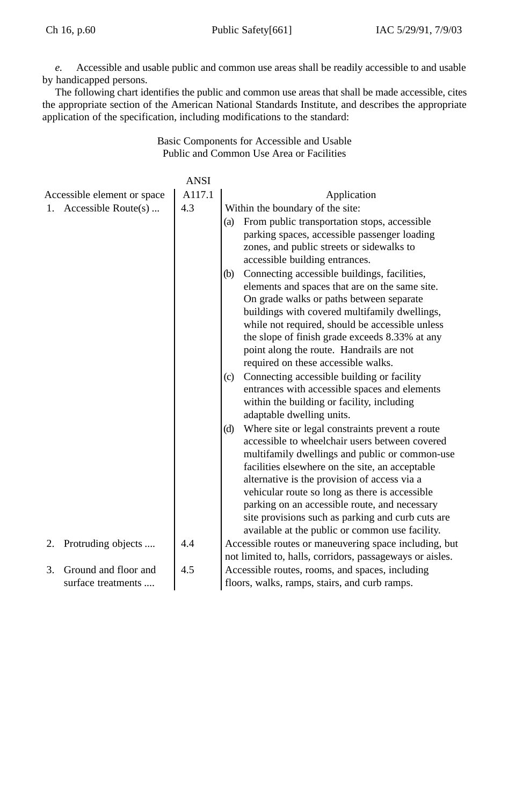*e.* Accessible and usable public and common use areas shall be readily accessible to and usable by handicapped persons.

The following chart identifies the public and common use areas that shall be made accessible, cites the appropriate section of the American National Standards Institute, and describes the appropriate application of the specification, including modifications to the standard:

> Basic Components for Accessible and Usable Public and Common Use Area or Facilities

|    |                                            | <b>ANSI</b> |                                                                                                                                                                                                                                                                                                                                                                                                                                                                           |
|----|--------------------------------------------|-------------|---------------------------------------------------------------------------------------------------------------------------------------------------------------------------------------------------------------------------------------------------------------------------------------------------------------------------------------------------------------------------------------------------------------------------------------------------------------------------|
|    | Accessible element or space                | A117.1      | Application                                                                                                                                                                                                                                                                                                                                                                                                                                                               |
|    | 1. Accessible Route $(s)$                  | 4.3         | Within the boundary of the site:<br>From public transportation stops, accessible<br>(a)<br>parking spaces, accessible passenger loading<br>zones, and public streets or sidewalks to<br>accessible building entrances.                                                                                                                                                                                                                                                    |
|    |                                            |             | Connecting accessible buildings, facilities,<br>(b)<br>elements and spaces that are on the same site.<br>On grade walks or paths between separate<br>buildings with covered multifamily dwellings,<br>while not required, should be accessible unless<br>the slope of finish grade exceeds 8.33% at any<br>point along the route. Handrails are not<br>required on these accessible walks.                                                                                |
|    |                                            |             | Connecting accessible building or facility<br>(c)<br>entrances with accessible spaces and elements<br>within the building or facility, including<br>adaptable dwelling units.                                                                                                                                                                                                                                                                                             |
|    |                                            |             | Where site or legal constraints prevent a route<br>(d)<br>accessible to wheelchair users between covered<br>multifamily dwellings and public or common-use<br>facilities elsewhere on the site, an acceptable<br>alternative is the provision of access via a<br>vehicular route so long as there is accessible.<br>parking on an accessible route, and necessary<br>site provisions such as parking and curb cuts are<br>available at the public or common use facility. |
|    | 2. Protruding objects                      | 4.4         | Accessible routes or maneuvering space including, but<br>not limited to, halls, corridors, passageways or aisles.                                                                                                                                                                                                                                                                                                                                                         |
| 3. | Ground and floor and<br>surface treatments | 4.5         | Accessible routes, rooms, and spaces, including<br>floors, walks, ramps, stairs, and curb ramps.                                                                                                                                                                                                                                                                                                                                                                          |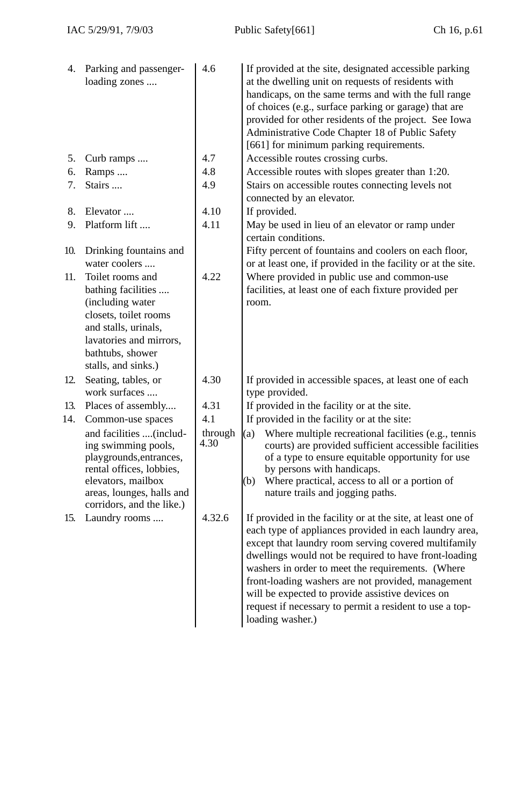|            | 4. Parking and passenger-<br>loading zones                                                                                                                                            | 4.6             | If provided at the site, designated accessible parking<br>at the dwelling unit on requests of residents with<br>handicaps, on the same terms and with the full range<br>of choices (e.g., surface parking or garage) that are<br>provided for other residents of the project. See Iowa<br>Administrative Code Chapter 18 of Public Safety<br>[661] for minimum parking requirements.                                                                                                 |
|------------|---------------------------------------------------------------------------------------------------------------------------------------------------------------------------------------|-----------------|--------------------------------------------------------------------------------------------------------------------------------------------------------------------------------------------------------------------------------------------------------------------------------------------------------------------------------------------------------------------------------------------------------------------------------------------------------------------------------------|
| 5.         | Curb ramps                                                                                                                                                                            | 4.7             | Accessible routes crossing curbs.                                                                                                                                                                                                                                                                                                                                                                                                                                                    |
| 6.         | Ramps                                                                                                                                                                                 | 4.8             | Accessible routes with slopes greater than 1:20.                                                                                                                                                                                                                                                                                                                                                                                                                                     |
| 7.         | Stairs                                                                                                                                                                                | 4.9             | Stairs on accessible routes connecting levels not<br>connected by an elevator.                                                                                                                                                                                                                                                                                                                                                                                                       |
| 8.         | Elevator                                                                                                                                                                              | 4.10            | If provided.                                                                                                                                                                                                                                                                                                                                                                                                                                                                         |
| 9.         | Platform lift                                                                                                                                                                         | 4.11            | May be used in lieu of an elevator or ramp under<br>certain conditions.                                                                                                                                                                                                                                                                                                                                                                                                              |
| 10.<br>11. | Drinking fountains and<br>water coolers<br>Toilet rooms and                                                                                                                           | 4.22            | Fifty percent of fountains and coolers on each floor,<br>or at least one, if provided in the facility or at the site.<br>Where provided in public use and common-use                                                                                                                                                                                                                                                                                                                 |
|            | bathing facilities<br>(including water<br>closets, toilet rooms<br>and stalls, urinals,<br>lavatories and mirrors,<br>bathtubs, shower<br>stalls, and sinks.)                         |                 | facilities, at least one of each fixture provided per<br>room.                                                                                                                                                                                                                                                                                                                                                                                                                       |
| 12.        | Seating, tables, or<br>work surfaces                                                                                                                                                  | 4.30            | If provided in accessible spaces, at least one of each<br>type provided.                                                                                                                                                                                                                                                                                                                                                                                                             |
| 13.        | Places of assembly                                                                                                                                                                    | 4.31            | If provided in the facility or at the site.                                                                                                                                                                                                                                                                                                                                                                                                                                          |
| 14.        | Common-use spaces                                                                                                                                                                     | 4.1             | If provided in the facility or at the site:                                                                                                                                                                                                                                                                                                                                                                                                                                          |
|            | and facilities (includ-<br>ing swimming pools,<br>playgrounds, entrances,<br>rental offices, lobbies,<br>elevators, mailbox<br>areas, lounges, halls and<br>corridors, and the like.) | through<br>4.30 | (a)<br>Where multiple recreational facilities (e.g., tennis<br>courts) are provided sufficient accessible facilities<br>of a type to ensure equitable opportunity for use<br>by persons with handicaps.<br>Where practical, access to all or a portion of<br>(b)<br>nature trails and jogging paths.                                                                                                                                                                                 |
| 15.        | Laundry rooms                                                                                                                                                                         | 4.32.6          | If provided in the facility or at the site, at least one of<br>each type of appliances provided in each laundry area,<br>except that laundry room serving covered multifamily<br>dwellings would not be required to have front-loading<br>washers in order to meet the requirements. (Where<br>front-loading washers are not provided, management<br>will be expected to provide assistive devices on<br>request if necessary to permit a resident to use a top-<br>loading washer.) |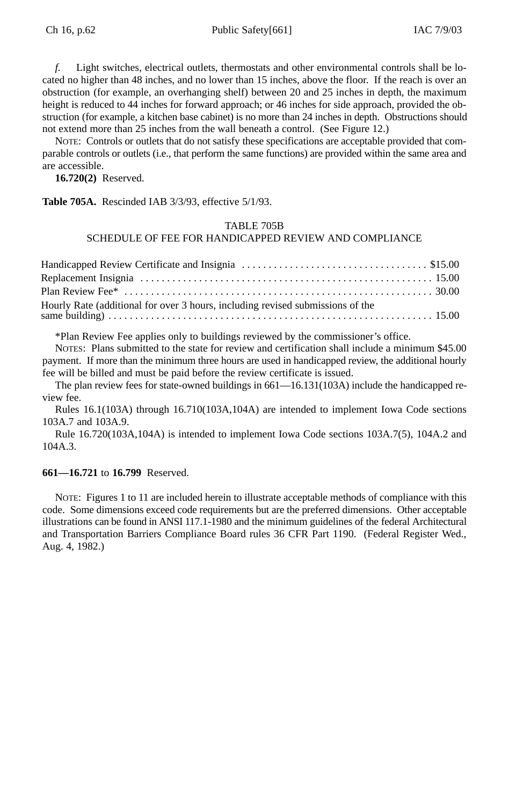*f.* Light switches, electrical outlets, thermostats and other environmental controls shall be located no higher than 48 inches, and no lower than 15 inches, above the floor. If the reach is over an obstruction (for example, an overhanging shelf) between 20 and 25 inches in depth, the maximum height is reduced to 44 inches for forward approach; or 46 inches for side approach, provided the obstruction (for example, a kitchen base cabinet) is no more than 24 inches in depth. Obstructions should not extend more than 25 inches from the wall beneath a control. (See Figure 12.)

NOTE: Controls or outlets that do not satisfy these specifications are acceptable provided that comparable controls or outlets (i.e., that perform the same functions) are provided within the same area and are accessible.

**16.720(2)** Reserved.

**Table 705A.** Rescinded IAB 3/3/93, effective 5/1/93.

# TABLE 705B

# SCHEDULE OF FEE FOR HANDICAPPED REVIEW AND COMPLIANCE

| Hourly Rate (additional for over 3 hours, including revised submissions of the<br>same building) $\ldots$ $\ldots$ $\ldots$ $\ldots$ $\ldots$ $\ldots$ $\ldots$ $\ldots$ $\ldots$ $\ldots$ $\ldots$ $\ldots$ $\ldots$ $\ldots$ $\ldots$ $\ldots$ $\ldots$ $\ldots$ $\ldots$ $\ldots$ $\ldots$ $\ldots$ $\ldots$ $\ldots$ $\ldots$ $\ldots$ $\ldots$ |  |
|-----------------------------------------------------------------------------------------------------------------------------------------------------------------------------------------------------------------------------------------------------------------------------------------------------------------------------------------------------|--|

\*Plan Review Fee applies only to buildings reviewed by the commissioner's office.

NOTES: Plans submitted to the state for review and certification shall include a minimum \$45.00 payment. If more than the minimum three hours are used in handicapped review, the additional hourly fee will be billed and must be paid before the review certificate is issued.

The plan review fees for state-owned buildings in 661—16.131(103A) include the handicapped review fee.

Rules 16.1(103A) through 16.710(103A,104A) are intended to implement Iowa Code sections 103A.7 and 103A.9.

Rule 16.720(103A,104A) is intended to implement Iowa Code sections 103A.7(5), 104A.2 and 104A.3.

# **661—16.721** to **16.799** Reserved.

NOTE: Figures 1 to 11 are included herein to illustrate acceptable methods of compliance with this code. Some dimensions exceed code requirements but are the preferred dimensions. Other acceptable illustrations can be found in ANSI 117.1-1980 and the minimum guidelines of the federal Architectural and Transportation Barriers Compliance Board rules 36 CFR Part 1190. (Federal Register Wed., Aug. 4, 1982.)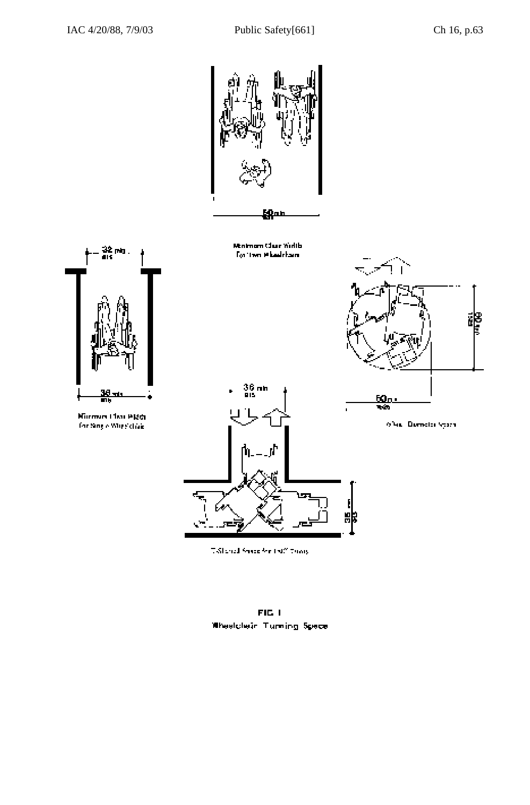

FIG 1 Wheelplein Turning Spece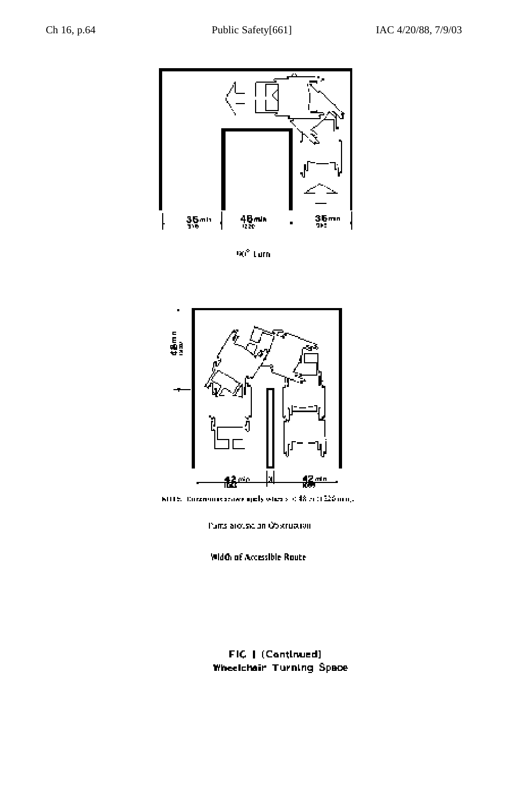

90° Lum



MITE. Diremonisterave girly when  $s < 48 \approx 0.225 \, \mathrm{mmpc}$ 

Pums aroused an Obstruction

**Width of Accessible Route** 

FIC | (Continued) Wheelchair Turning Space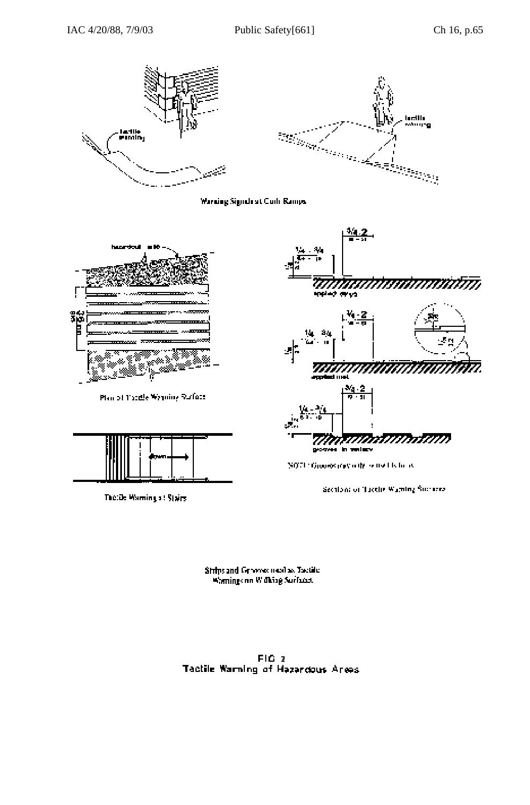







Plan of Tacele Wynning Ruface



The: De Warning at Stairs



SOFT Groots ray offered in the w

Section of Tactie Waming Success

Strips and Genevies must as Tactile Warnings on Widting Surfaces.

FIG 2 Tactile Warning of Hazardous Areas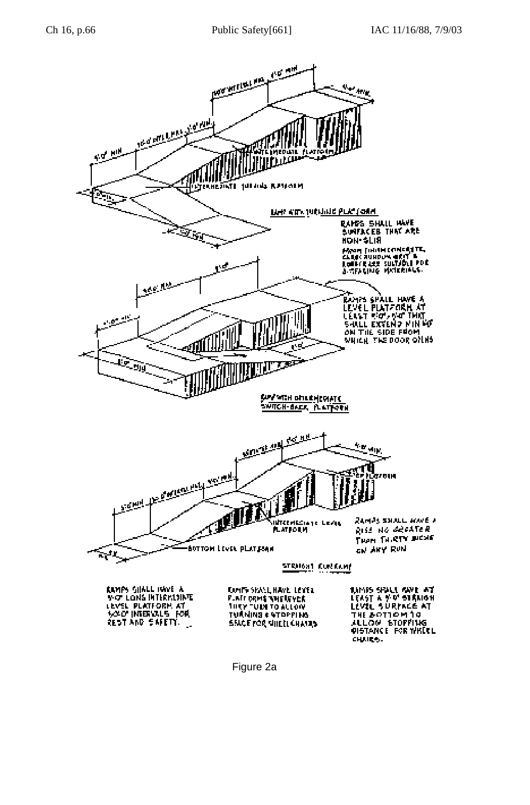

Figure 2a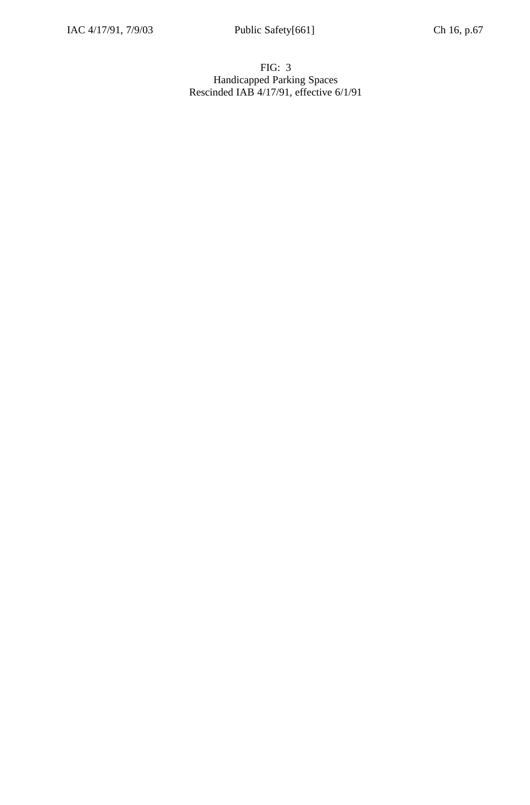# FIG: 3 Handicapped Parking Spaces Rescinded IAB 4/17/91, effective 6/1/91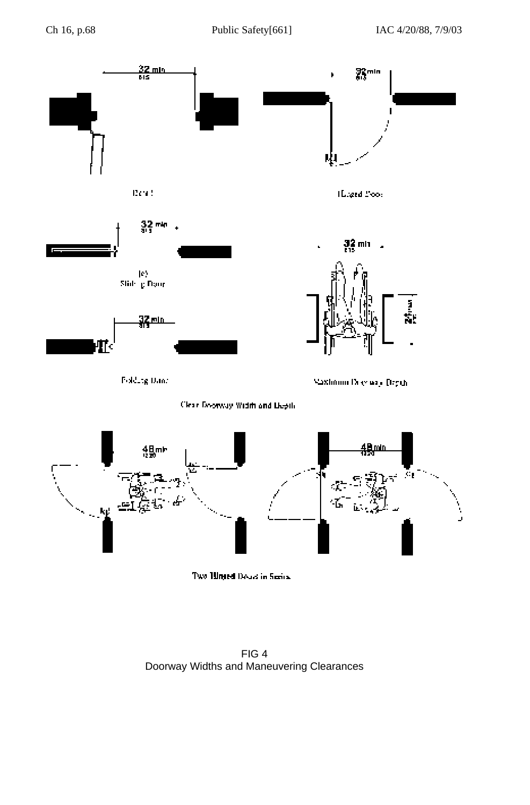

FIG 4 Doorway Widths and Maneuvering Clearances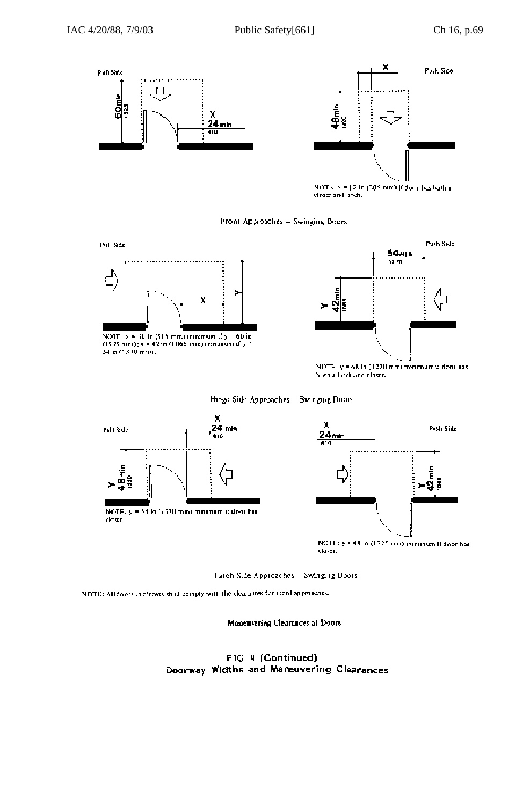





Hospit Side Approaches Swinging Doors





NETE: All food in those what comply will like clear area for some approaches

Monetavering Clearances at Doors.

FIG 4 (Continued) Doorway Widths and Mareuvering Clearances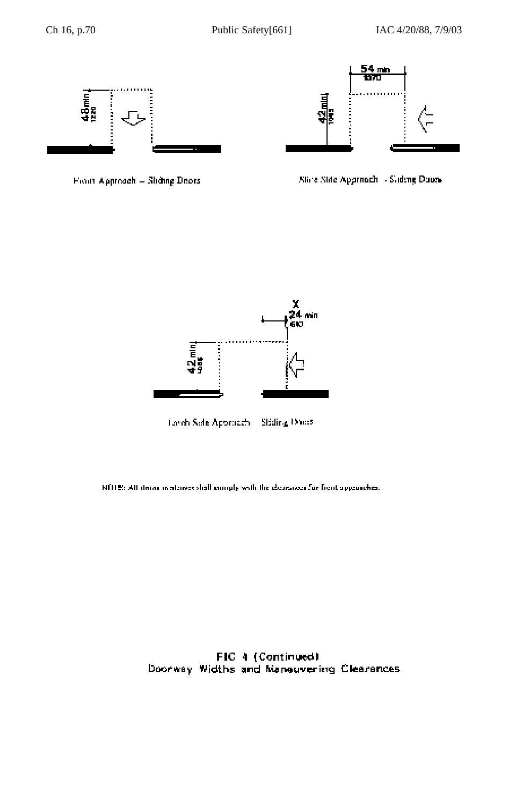



From Approach - Sliding Deors

Slice Side Approach - Sideng Doun-



Lords Side Approach. Siding Druss

NOTE: All times in attacks shall comply with the detrained for front appearches.

FIC 4 (Continued) Doorway Widths and Maneuvering Clearances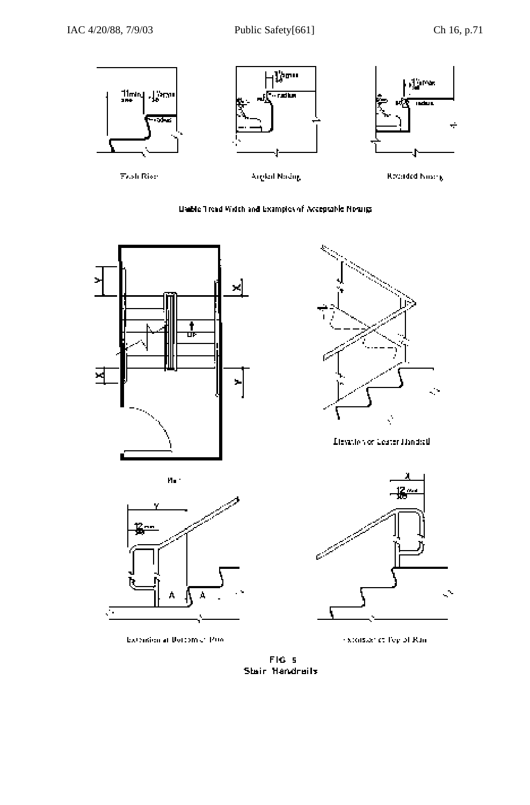













Elevation or Ceater Handick



stonsier et Pep of Ran

FIG<sub>S</sub> Stair Handrails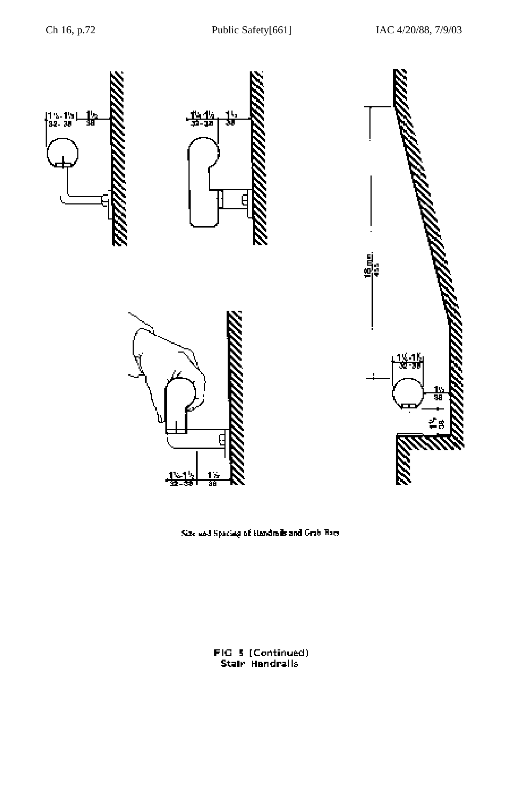

Size and Spacing of Handrails and Grab Bacs

âä

FIG 5 (Continued)<br>Stair Handralls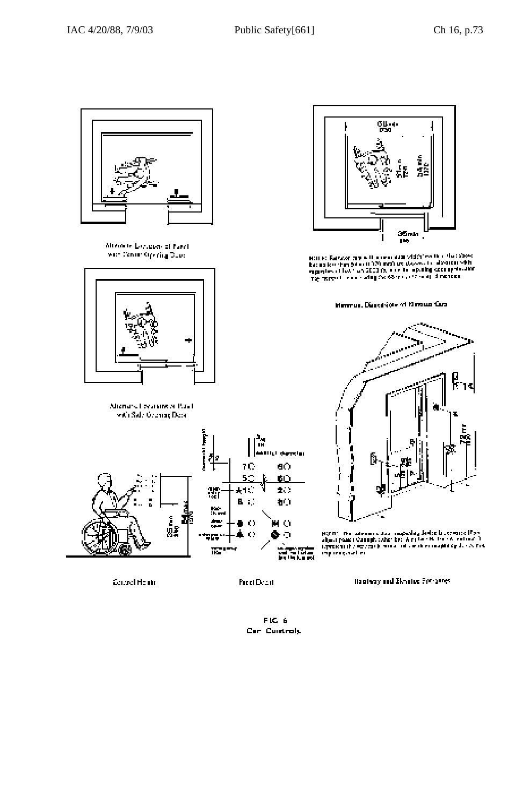

Marine Salzater my with a new duth vidénites that the Stock<br>Easter Reschen Selast (1970 metric (Assession description)<br>supprime a like/ an 2003 (S, a selas a politique de supprimidité<br>Thé marcoul in a surfay for 68 may 12

Henrus, Discrition of Neous Cas-



 $\left\{ 0.0101, 0.06$  and consider a magneting distinctly consider  $\left\{ 0.05, 0.06, 0.06, 0.06, 0.06, 0.06, 0.06, 0.06, 0.06, 0.06, 0.07, 0.07, 0.07, 0.07, 0.07, 0.07, 0.07, 0.07, 0.07, 0.07, 0.07, 0.07, 0.07, 0.07, 0.07,$ 

Bantway and Elevator For Ganes.



Monete Longian of Fard worldworldpyring Dues



Michard I reading or Paul. with Side Geomore Deck



Council Houtin

Pecci Dowit

FIG 6 Can Cuntrols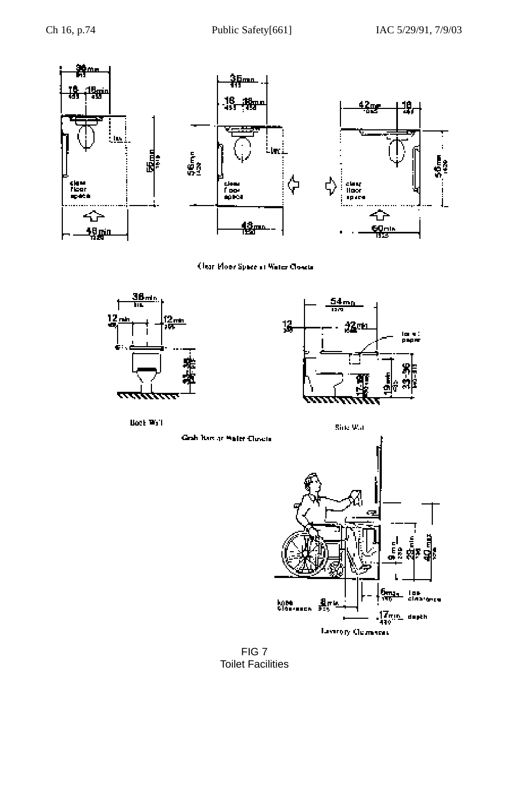

Clear Plone Space of Water Closets





**Book Wall** 

Grah Barcar Waler Closels



FIG 7 Toilet Facilities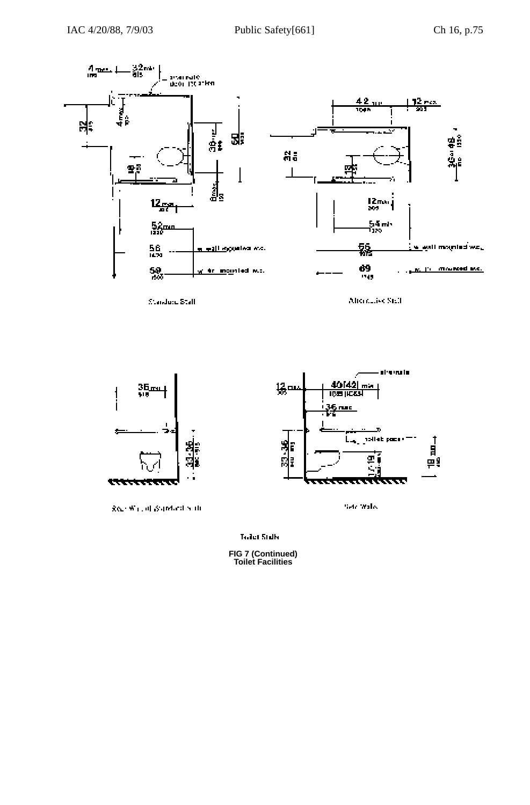

Standard Stall

Africanaise Stall



keep Wallett Supported State

Toilet Stalls

**FIG 7 (Continued) Toilet Facilities**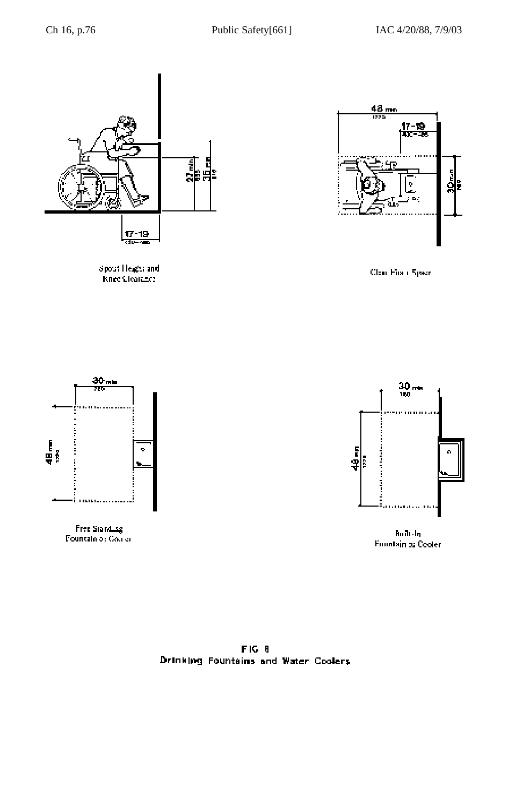





Clear First (Speed



Free Standing<br>Fountain of Course



**Fountain to Cooler** 

 $F[G, 8]$ Drinking Fountains and Water Coolers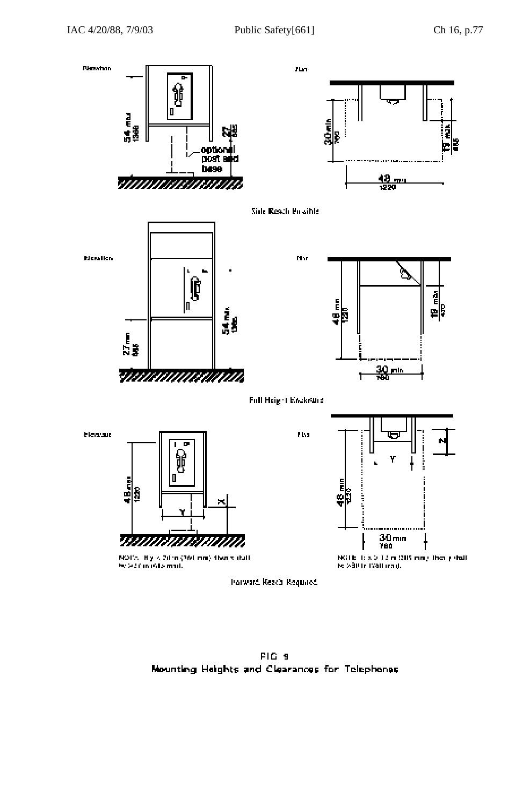

**PIG 9** Mounting Heights and Clearances for Telephones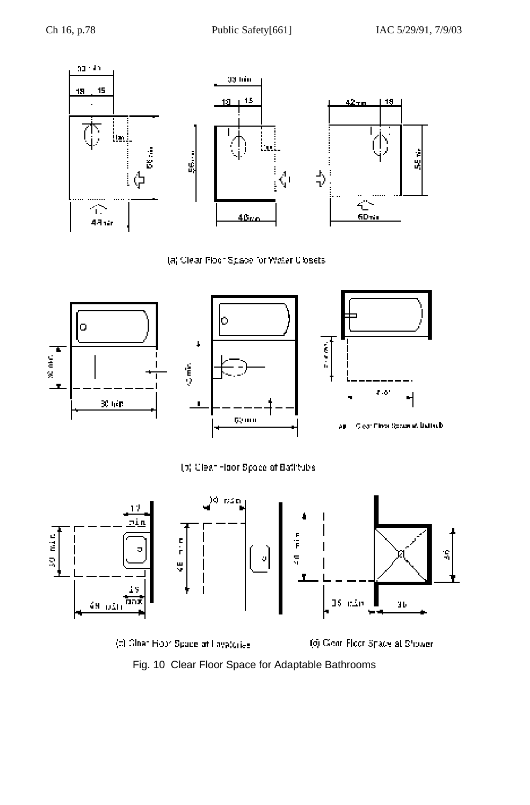

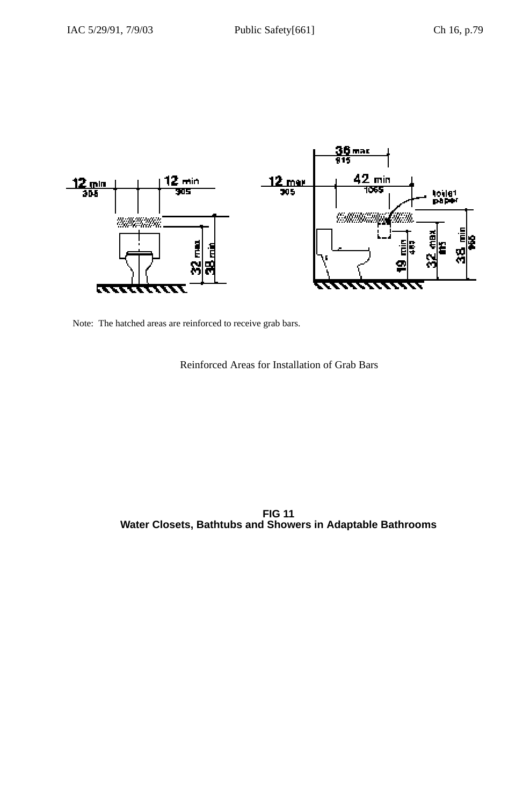

Note: The hatched areas are reinforced to receive grab bars.

Reinforced Areas for Installation of Grab Bars

**FIG 11 Water Closets, Bathtubs and Showers in Adaptable Bathrooms**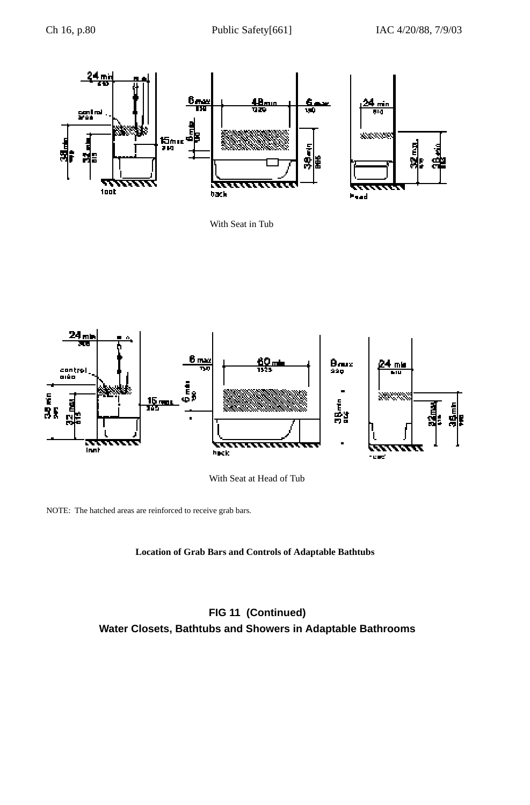

With Seat in Tub



With Seat at Head of Tub

NOTE: The hatched areas are reinforced to receive grab bars.

# **Location of Grab Bars and Controls of Adaptable Bathtubs**

# **FIG 11 (Continued) Water Closets, Bathtubs and Showers in Adaptable Bathrooms**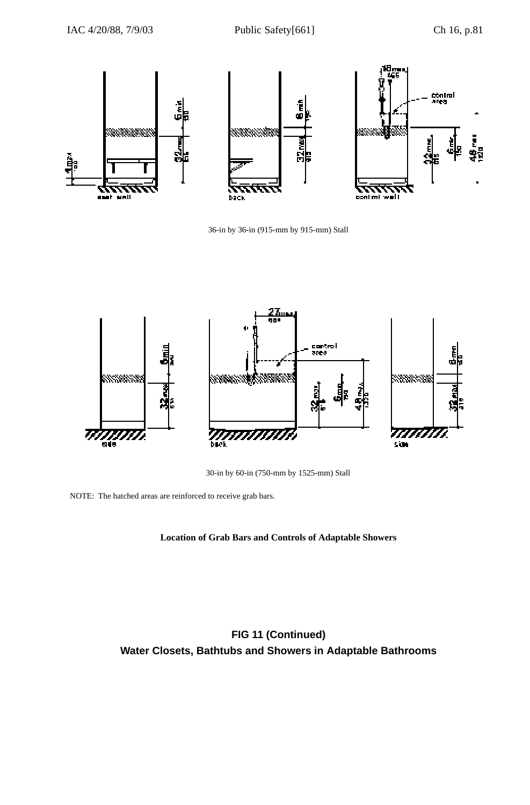

36-in by 36-in (915-mm by 915-mm) Stall



30-in by 60-in (750-mm by 1525-mm) Stall

NOTE: The hatched areas are reinforced to receive grab bars.

# **Location of Grab Bars and Controls of Adaptable Showers**

**FIG 11 (Continued) Water Closets, Bathtubs and Showers in Adaptable Bathrooms**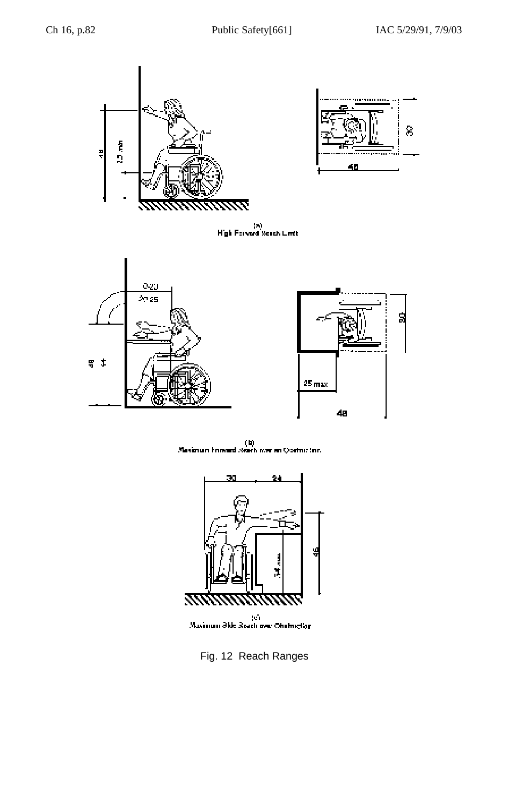



(a)<br>High Forward Seach Linth



 $\label{eq:1} \begin{array}{c} \text{(b)}\\ \text{Maximum forward search over an Coefficient.} \end{array}$ 



ei<br>Maximum Əkle Reach over Ohntruçliği

Fig. 12 Reach Ranges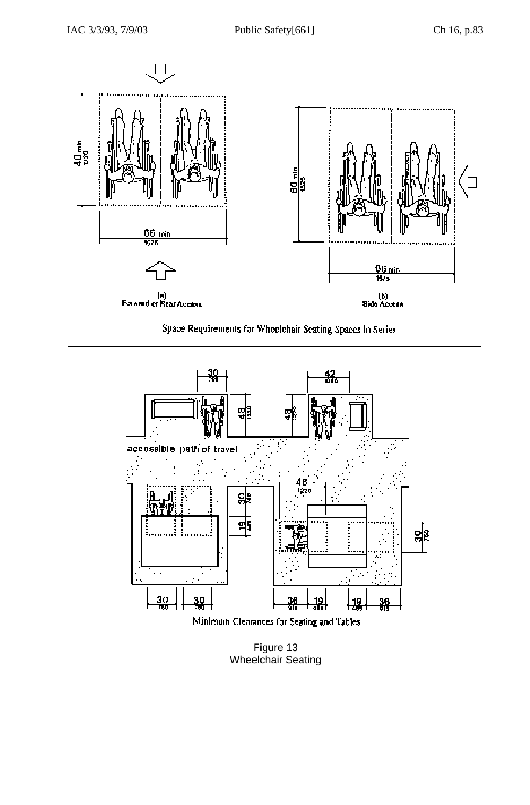

Space Requirements for Whoelchair Seating Spaces in Series



Figure 13 Wheelchair Seating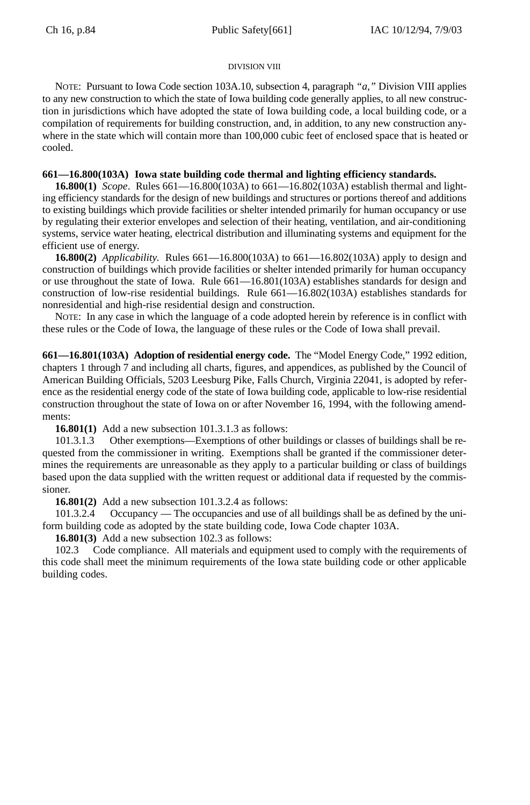# DIVISION VIII

NOTE: Pursuant to Iowa Code section 103A.10, subsection 4, paragraph *"a,"* Division VIII applies to any new construction to which the state of Iowa building code generally applies, to all new construction in jurisdictions which have adopted the state of Iowa building code, a local building code, or a compilation of requirements for building construction, and, in addition, to any new construction anywhere in the state which will contain more than 100,000 cubic feet of enclosed space that is heated or cooled.

# **661—16.800(103A) Iowa state building code thermal and lighting efficiency standards.**

**16.800(1)** *Scope*. Rules 661—16.800(103A) to 661—16.802(103A) establish thermal and lighting efficiency standards for the design of new buildings and structures or portions thereof and additions to existing buildings which provide facilities or shelter intended primarily for human occupancy or use by regulating their exterior envelopes and selection of their heating, ventilation, and air-conditioning systems, service water heating, electrical distribution and illuminating systems and equipment for the efficient use of energy.

**16.800(2)** *Applicability*. Rules 661—16.800(103A) to 661—16.802(103A) apply to design and construction of buildings which provide facilities or shelter intended primarily for human occupancy or use throughout the state of Iowa. Rule 661—16.801(103A) establishes standards for design and construction of low-rise residential buildings. Rule 661—16.802(103A) establishes standards for nonresidential and high-rise residential design and construction.

NOTE: In any case in which the language of a code adopted herein by reference is in conflict with these rules or the Code of Iowa, the language of these rules or the Code of Iowa shall prevail.

**661—16.801(103A) Adoption of residential energy code.** The "Model Energy Code," 1992 edition, chapters 1 through 7 and including all charts, figures, and appendices, as published by the Council of American Building Officials, 5203 Leesburg Pike, Falls Church, Virginia 22041, is adopted by reference as the residential energy code of the state of Iowa building code, applicable to low-rise residential construction throughout the state of Iowa on or after November 16, 1994, with the following amendments:

**16.801(1)** Add a new subsection 101.3.1.3 as follows:

101.3.1.3 Other exemptions—Exemptions of other buildings or classes of buildings shall be requested from the commissioner in writing. Exemptions shall be granted if the commissioner determines the requirements are unreasonable as they apply to a particular building or class of buildings based upon the data supplied with the written request or additional data if requested by the commissioner.

**16.801(2)** Add a new subsection 101.3.2.4 as follows:

101.3.2.4 Occupancy — The occupancies and use of all buildings shall be as defined by the uniform building code as adopted by the state building code, Iowa Code chapter 103A.

**16.801(3)** Add a new subsection 102.3 as follows:

102.3 Code compliance. All materials and equipment used to comply with the requirements of this code shall meet the minimum requirements of the Iowa state building code or other applicable building codes.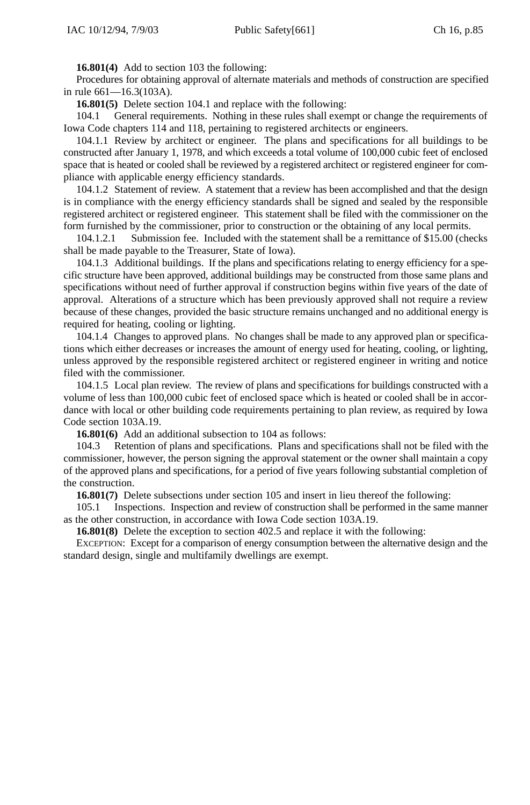**16.801(4)** Add to section 103 the following:

Procedures for obtaining approval of alternate materials and methods of construction are specified in rule 661—16.3(103A).

**16.801(5)** Delete section 104.1 and replace with the following:

104.1 General requirements. Nothing in these rules shall exempt or change the requirements of Iowa Code chapters 114 and 118, pertaining to registered architects or engineers.

104.1.1 Review by architect or engineer. The plans and specifications for all buildings to be constructed after January 1, 1978, and which exceeds a total volume of 100,000 cubic feet of enclosed space that is heated or cooled shall be reviewed by a registered architect or registered engineer for compliance with applicable energy efficiency standards.

104.1.2 Statement of review. A statement that a review has been accomplished and that the design is in compliance with the energy efficiency standards shall be signed and sealed by the responsible registered architect or registered engineer. This statement shall be filed with the commissioner on the form furnished by the commissioner, prior to construction or the obtaining of any local permits.

104.1.2.1 Submission fee. Included with the statement shall be a remittance of \$15.00 (checks shall be made payable to the Treasurer, State of Iowa).

104.1.3 Additional buildings. If the plans and specifications relating to energy efficiency for a specific structure have been approved, additional buildings may be constructed from those same plans and specifications without need of further approval if construction begins within five years of the date of approval. Alterations of a structure which has been previously approved shall not require a review because of these changes, provided the basic structure remains unchanged and no additional energy is required for heating, cooling or lighting.

104.1.4 Changes to approved plans. No changes shall be made to any approved plan or specifications which either decreases or increases the amount of energy used for heating, cooling, or lighting, unless approved by the responsible registered architect or registered engineer in writing and notice filed with the commissioner.

104.1.5 Local plan review. The review of plans and specifications for buildings constructed with a volume of less than 100,000 cubic feet of enclosed space which is heated or cooled shall be in accordance with local or other building code requirements pertaining to plan review, as required by Iowa Code section 103A.19.

**16.801(6)** Add an additional subsection to 104 as follows:

104.3 Retention of plans and specifications. Plans and specifications shall not be filed with the commissioner, however, the person signing the approval statement or the owner shall maintain a copy of the approved plans and specifications, for a period of five years following substantial completion of the construction.

**16.801(7)** Delete subsections under section 105 and insert in lieu thereof the following:

105.1 Inspections. Inspection and review of construction shall be performed in the same manner as the other construction, in accordance with Iowa Code section 103A.19.

**16.801(8)** Delete the exception to section 402.5 and replace it with the following:

EXCEPTION: Except for a comparison of energy consumption between the alternative design and the standard design, single and multifamily dwellings are exempt.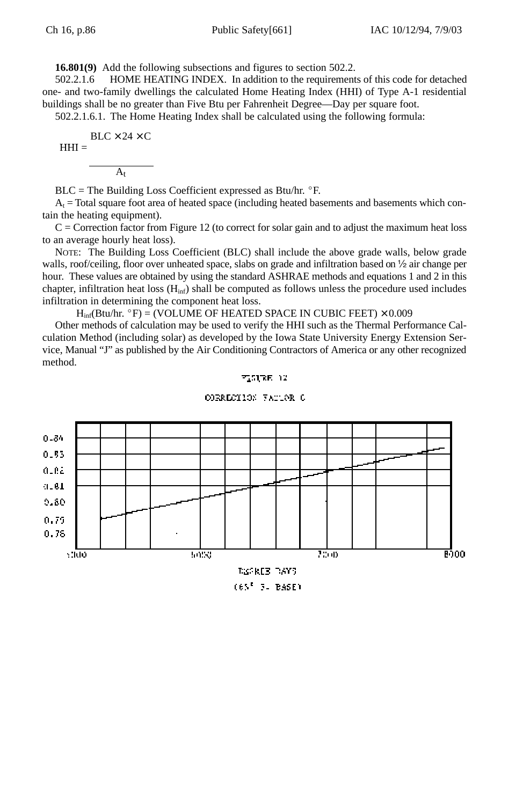**16.801(9)** Add the following subsections and figures to section 502.2.

502.2.1.6 HOME HEATING INDEX. In addition to the requirements of this code for detached one- and two-family dwellings the calculated Home Heating Index (HHI) of Type A-1 residential buildings shall be no greater than Five Btu per Fahrenheit Degree—Day per square foot.

502.2.1.6.1. The Home Heating Index shall be calculated using the following formula:

$$
BLC \times 24 \times C
$$
  
HHI =

$$
\boldsymbol{A}_t
$$

 $BLC =$  The Building Loss Coefficient expressed as Btu/hr.  $\degree$ F.

 $A<sub>t</sub>$  = Total square foot area of heated space (including heated basements and basements which contain the heating equipment).

 $C =$  Correction factor from Figure 12 (to correct for solar gain and to adjust the maximum heat loss to an average hourly heat loss).

NOTE: The Building Loss Coefficient (BLC) shall include the above grade walls, below grade walls, roof/ceiling, floor over unheated space, slabs on grade and infiltration based on  $\frac{1}{2}$  air change per hour. These values are obtained by using the standard ASHRAE methods and equations 1 and 2 in this chapter, infiltration heat loss  $(H_{inf})$  shall be computed as follows unless the procedure used includes infiltration in determining the component heat loss.

 $H_{\text{inf}}(B \text{tu/hr. } ^{\circ}F) = (VOLUME OF HEATED SPACE IN CUBIC FEET) \times 0.009$ 

Other methods of calculation may be used to verify the HHI such as the Thermal Performance Calculation Method (including solar) as developed by the Iowa State University Energy Extension Service, Manual "J" as published by the Air Conditioning Contractors of America or any other recognized method.

$$
\mathbb{P}^*_\mathbf{1} \mathbb{S} \mathbb{Q} \mathbb{R} \mathbb{R} \to \mathbb{Z}
$$



ODERECTION FACTOR C

(65° 3. BASE)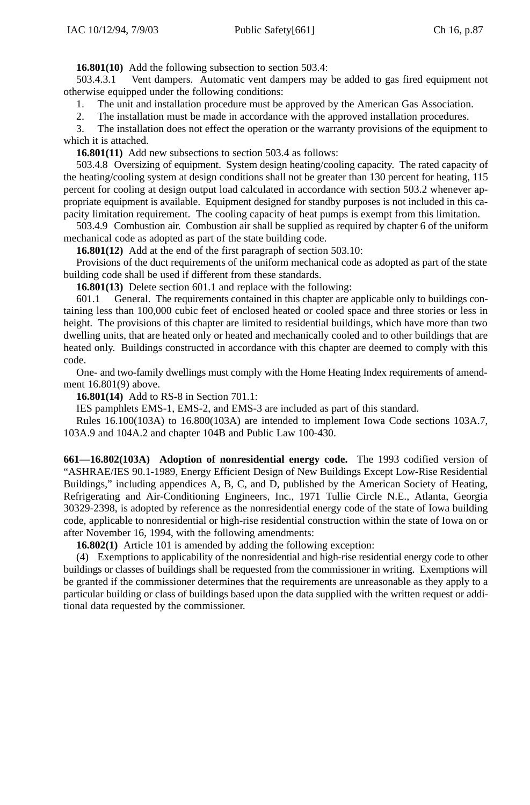**16.801(10)** Add the following subsection to section 503.4:

503.4.3.1 Vent dampers. Automatic vent dampers may be added to gas fired equipment not otherwise equipped under the following conditions:

1. The unit and installation procedure must be approved by the American Gas Association.

2. The installation must be made in accordance with the approved installation procedures.

3. The installation does not effect the operation or the warranty provisions of the equipment to which it is attached.

**16.801(11)** Add new subsections to section 503.4 as follows:

503.4.8 Oversizing of equipment. System design heating/cooling capacity. The rated capacity of the heating/cooling system at design conditions shall not be greater than 130 percent for heating, 115 percent for cooling at design output load calculated in accordance with section 503.2 whenever appropriate equipment is available. Equipment designed for standby purposes is not included in this capacity limitation requirement. The cooling capacity of heat pumps is exempt from this limitation.

503.4.9 Combustion air. Combustion air shall be supplied as required by chapter 6 of the uniform mechanical code as adopted as part of the state building code.

**16.801(12)** Add at the end of the first paragraph of section 503.10:

Provisions of the duct requirements of the uniform mechanical code as adopted as part of the state building code shall be used if different from these standards.

**16.801(13)** Delete section 601.1 and replace with the following:

601.1 General. The requirements contained in this chapter are applicable only to buildings containing less than 100,000 cubic feet of enclosed heated or cooled space and three stories or less in height. The provisions of this chapter are limited to residential buildings, which have more than two dwelling units, that are heated only or heated and mechanically cooled and to other buildings that are heated only. Buildings constructed in accordance with this chapter are deemed to comply with this code.

One- and two-family dwellings must comply with the Home Heating Index requirements of amendment 16.801(9) above.

**16.801(14)** Add to RS-8 in Section 701.1:

IES pamphlets EMS-1, EMS-2, and EMS-3 are included as part of this standard.

Rules 16.100(103A) to 16.800(103A) are intended to implement Iowa Code sections 103A.7, 103A.9 and 104A.2 and chapter 104B and Public Law 100-430.

**661—16.802(103A) Adoption of nonresidential energy code.** The 1993 codified version of "ASHRAE/IES 90.1-1989, Energy Efficient Design of New Buildings Except Low-Rise Residential Buildings," including appendices A, B, C, and D, published by the American Society of Heating, Refrigerating and Air-Conditioning Engineers, Inc., 1971 Tullie Circle N.E., Atlanta, Georgia 30329-2398, is adopted by reference as the nonresidential energy code of the state of Iowa building code, applicable to nonresidential or high-rise residential construction within the state of Iowa on or after November 16, 1994, with the following amendments:

**16.802(1)** Article 101 is amended by adding the following exception:

(4) Exemptions to applicability of the nonresidential and high-rise residential energy code to other buildings or classes of buildings shall be requested from the commissioner in writing. Exemptions will be granted if the commissioner determines that the requirements are unreasonable as they apply to a particular building or class of buildings based upon the data supplied with the written request or additional data requested by the commissioner.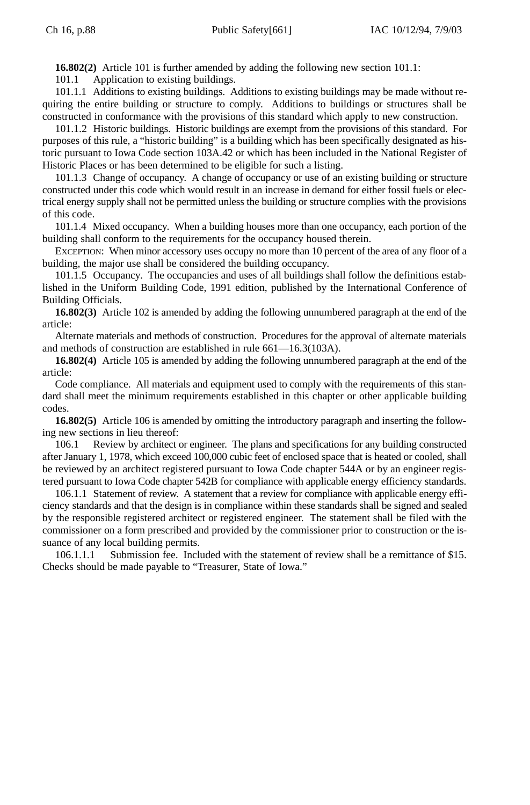**16.802(2)** Article 101 is further amended by adding the following new section 101.1:

101.1 Application to existing buildings.

101.1.1 Additions to existing buildings. Additions to existing buildings may be made without requiring the entire building or structure to comply. Additions to buildings or structures shall be constructed in conformance with the provisions of this standard which apply to new construction.

101.1.2 Historic buildings. Historic buildings are exempt from the provisions of this standard. For purposes of this rule, a "historic building" is a building which has been specifically designated as historic pursuant to Iowa Code section 103A.42 or which has been included in the National Register of Historic Places or has been determined to be eligible for such a listing.

101.1.3 Change of occupancy. A change of occupancy or use of an existing building or structure constructed under this code which would result in an increase in demand for either fossil fuels or electrical energy supply shall not be permitted unless the building or structure complies with the provisions of this code.

101.1.4 Mixed occupancy. When a building houses more than one occupancy, each portion of the building shall conform to the requirements for the occupancy housed therein.

EXCEPTION: When minor accessory uses occupy no more than 10 percent of the area of any floor of a building, the major use shall be considered the building occupancy.

101.1.5 Occupancy. The occupancies and uses of all buildings shall follow the definitions established in the Uniform Building Code, 1991 edition, published by the International Conference of Building Officials.

**16.802(3)** Article 102 is amended by adding the following unnumbered paragraph at the end of the article:

Alternate materials and methods of construction. Procedures for the approval of alternate materials and methods of construction are established in rule 661—16.3(103A).

**16.802(4)** Article 105 is amended by adding the following unnumbered paragraph at the end of the article:

Code compliance. All materials and equipment used to comply with the requirements of this standard shall meet the minimum requirements established in this chapter or other applicable building codes.

**16.802(5)** Article 106 is amended by omitting the introductory paragraph and inserting the following new sections in lieu thereof:

106.1 Review by architect or engineer. The plans and specifications for any building constructed after January 1, 1978, which exceed 100,000 cubic feet of enclosed space that is heated or cooled, shall be reviewed by an architect registered pursuant to Iowa Code chapter 544A or by an engineer registered pursuant to Iowa Code chapter 542B for compliance with applicable energy efficiency standards.

106.1.1 Statement of review. A statement that a review for compliance with applicable energy efficiency standards and that the design is in compliance within these standards shall be signed and sealed by the responsible registered architect or registered engineer. The statement shall be filed with the commissioner on a form prescribed and provided by the commissioner prior to construction or the issuance of any local building permits.

106.1.1.1 Submission fee. Included with the statement of review shall be a remittance of \$15. Checks should be made payable to "Treasurer, State of Iowa."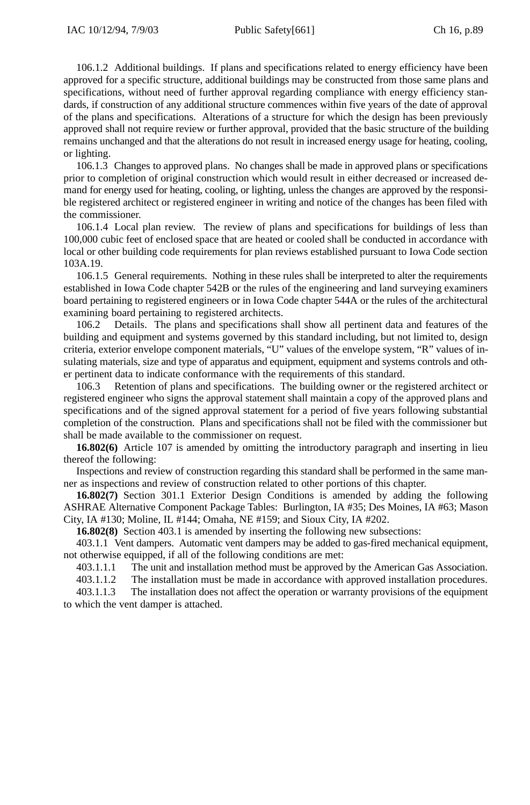106.1.2 Additional buildings. If plans and specifications related to energy efficiency have been approved for a specific structure, additional buildings may be constructed from those same plans and specifications, without need of further approval regarding compliance with energy efficiency standards, if construction of any additional structure commences within five years of the date of approval of the plans and specifications. Alterations of a structure for which the design has been previously approved shall not require review or further approval, provided that the basic structure of the building remains unchanged and that the alterations do not result in increased energy usage for heating, cooling, or lighting.

106.1.3 Changes to approved plans. No changes shall be made in approved plans or specifications prior to completion of original construction which would result in either decreased or increased demand for energy used for heating, cooling, or lighting, unless the changes are approved by the responsible registered architect or registered engineer in writing and notice of the changes has been filed with the commissioner.

106.1.4 Local plan review. The review of plans and specifications for buildings of less than 100,000 cubic feet of enclosed space that are heated or cooled shall be conducted in accordance with local or other building code requirements for plan reviews established pursuant to Iowa Code section 103A.19.

106.1.5 General requirements. Nothing in these rules shall be interpreted to alter the requirements established in Iowa Code chapter 542B or the rules of the engineering and land surveying examiners board pertaining to registered engineers or in Iowa Code chapter 544A or the rules of the architectural examining board pertaining to registered architects.

106.2 Details. The plans and specifications shall show all pertinent data and features of the building and equipment and systems governed by this standard including, but not limited to, design criteria, exterior envelope component materials, "U" values of the envelope system, "R" values of insulating materials, size and type of apparatus and equipment, equipment and systems controls and other pertinent data to indicate conformance with the requirements of this standard.

106.3 Retention of plans and specifications. The building owner or the registered architect or registered engineer who signs the approval statement shall maintain a copy of the approved plans and specifications and of the signed approval statement for a period of five years following substantial completion of the construction. Plans and specifications shall not be filed with the commissioner but shall be made available to the commissioner on request.

**16.802(6)** Article 107 is amended by omitting the introductory paragraph and inserting in lieu thereof the following:

Inspections and review of construction regarding this standard shall be performed in the same manner as inspections and review of construction related to other portions of this chapter.

**16.802(7)** Section 301.1 Exterior Design Conditions is amended by adding the following ASHRAE Alternative Component Package Tables: Burlington, IA #35; Des Moines, IA #63; Mason City, IA #130; Moline, IL #144; Omaha, NE #159; and Sioux City, IA #202.

**16.802(8)** Section 403.1 is amended by inserting the following new subsections:

403.1.1 Vent dampers. Automatic vent dampers may be added to gas-fired mechanical equipment, not otherwise equipped, if all of the following conditions are met:

403.1.1.1 The unit and installation method must be approved by the American Gas Association.

403.1.1.2 The installation must be made in accordance with approved installation procedures.

403.1.1.3 The installation does not affect the operation or warranty provisions of the equipment to which the vent damper is attached.